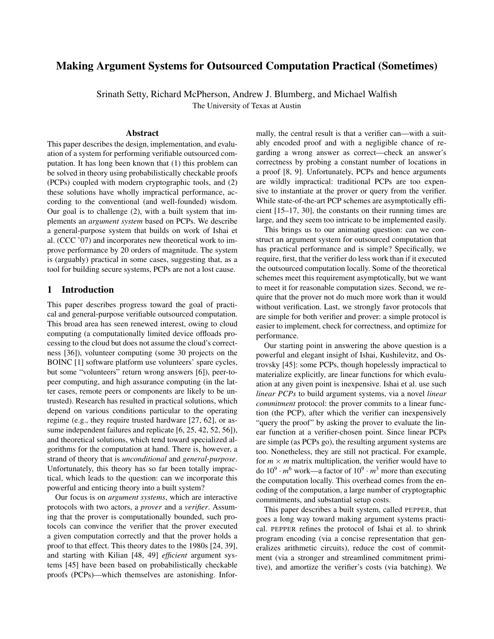# Making Argument Systems for Outsourced Computation Practical (Sometimes)

Srinath Setty, Richard McPherson, Andrew J. Blumberg, and Michael Walfish

The University of Texas at Austin

### Abstract

This paper describes the design, implementation, and evaluation of a system for performing verifiable outsourced computation. It has long been known that (1) this problem can be solved in theory using probabilistically checkable proofs (PCPs) coupled with modern cryptographic tools, and (2) these solutions have wholly impractical performance, according to the conventional (and well-founded) wisdom. Our goal is to challenge (2), with a built system that implements an *argument system* based on PCPs. We describe a general-purpose system that builds on work of Ishai et al. (CCC '07) and incorporates new theoretical work to improve performance by 20 orders of magnitude. The system is (arguably) practical in some cases, suggesting that, as a tool for building secure systems, PCPs are not a lost cause.

# 1 Introduction

This paper describes progress toward the goal of practical and general-purpose verifiable outsourced computation. This broad area has seen renewed interest, owing to cloud computing (a computationally limited device offloads processing to the cloud but does not assume the cloud's correctness [\[36\]](#page-14-0)), volunteer computing (some 30 projects on the BOINC [\[1\]](#page-13-0) software platform use volunteers' spare cycles, but some "volunteers" return wrong answers [\[6\]](#page-13-1)), peer-topeer computing, and high assurance computing (in the latter cases, remote peers or components are likely to be untrusted). Research has resulted in practical solutions, which depend on various conditions particular to the operating regime (e.g., they require trusted hardware [\[27,](#page-14-1) [62\]](#page-14-2), or as-sume independent failures and replicate [\[6,](#page-13-1) [25,](#page-14-3) [42,](#page-14-4) [52,](#page-14-5) [56\]](#page-14-6)), and theoretical solutions, which tend toward specialized algorithms for the computation at hand. There is, however, a strand of theory that is *unconditional* and *general-purpose*. Unfortunately, this theory has so far been totally impractical, which leads to the question: can we incorporate this powerful and enticing theory into a built system?

Our focus is on *argument systems*, which are interactive protocols with two actors, a *prover* and a *verifier*. Assuming that the prover is computationally bounded, such protocols can convince the verifier that the prover executed a given computation correctly and that the prover holds a proof to that effect. This theory dates to the 1980s [\[24,](#page-14-7) [39\]](#page-14-8), and starting with Kilian [\[48,](#page-14-9) [49\]](#page-14-10) *efficient* argument systems [\[45\]](#page-14-11) have been based on probabilistically checkable proofs (PCPs)—which themselves are astonishing. Infor-

mally, the central result is that a verifier can—with a suitably encoded proof and with a negligible chance of regarding a wrong answer as correct—check an answer's correctness by probing a constant number of locations in a proof [\[8,](#page-14-12) [9\]](#page-14-13). Unfortunately, PCPs and hence arguments are wildly impractical: traditional PCPs are too expensive to instantiate at the prover or query from the verifier. While state-of-the-art PCP schemes are asymptotically efficient [\[15](#page-14-14)[–17,](#page-14-15) [30\]](#page-14-16), the constants on their running times are large, and they seem too intricate to be implemented easily.

This brings us to our animating question: can we construct an argument system for outsourced computation that has practical performance and is simple? Specifically, we require, first, that the verifier do less work than if it executed the outsourced computation locally. Some of the theoretical schemes meet this requirement asymptotically, but we want to meet it for reasonable computation sizes. Second, we require that the prover not do much more work than it would without verification. Last, we strongly favor protocols that are simple for both verifier and prover: a simple protocol is easier to implement, check for correctness, and optimize for performance.

Our starting point in answering the above question is a powerful and elegant insight of Ishai, Kushilevitz, and Ostrovsky [\[45\]](#page-14-11): some PCPs, though hopelessly impractical to materialize explicitly, are linear functions for which evaluation at any given point is inexpensive. Ishai et al. use such *linear PCPs* to build argument systems, via a novel *linear commitment* protocol: the prover commits to a linear function (the PCP), after which the verifier can inexpensively "query the proof" by asking the prover to evaluate the linear function at a verifier-chosen point. Since linear PCPs are simple (as PCPs go), the resulting argument systems are too. Nonetheless, they are still not practical. For example, for  $m \times m$  matrix multiplication, the verifier would have to do  $10^9 \cdot m^6$  work—a factor of  $10^9 \cdot m^3$  more than executing the computation locally. This overhead comes from the encoding of the computation, a large number of cryptographic commitments, and substantial setup costs.

This paper describes a built system, called PEPPER, that goes a long way toward making argument systems practical. PEPPER refines the protocol of Ishai et al. to shrink program encoding (via a concise representation that generalizes arithmetic circuits), reduce the cost of commitment (via a stronger and streamlined commitment primitive), and amortize the verifier's costs (via batching). We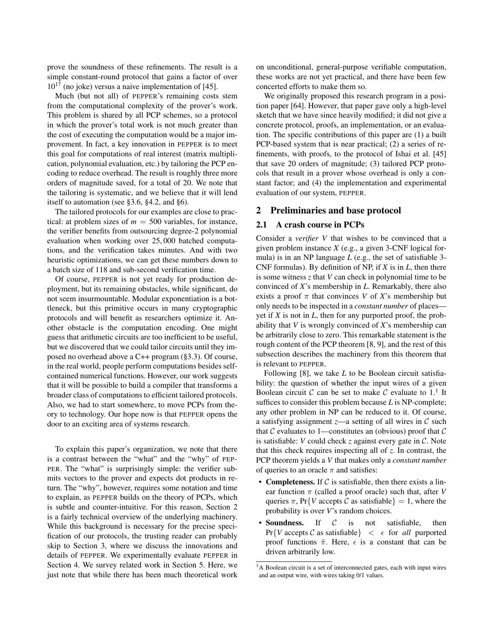prove the soundness of these refinements. The result is a simple constant-round protocol that gains a factor of over  $10^{17}$  (no joke) versus a naive implementation of [\[45\]](#page-14-11).

Much (but not all) of PEPPER's remaining costs stem from the computational complexity of the prover's work. This problem is shared by all PCP schemes, so a protocol in which the prover's total work is not much greater than the cost of executing the computation would be a major improvement. In fact, a key innovation in PEPPER is to meet this goal for computations of real interest (matrix multiplication, polynomial evaluation, etc.) by tailoring the PCP encoding to reduce overhead. The result is roughly three more orders of magnitude saved, for a total of 20. We note that the tailoring is systematic, and we believe that it will lend itself to automation (see [§3.6,](#page-7-0) [§4.2,](#page-9-0) and [§6\)](#page-13-2).

The tailored protocols for our examples are close to practical: at problem sizes of  $m = 500$  variables, for instance, the verifier benefits from outsourcing degree-2 polynomial evaluation when working over 25, 000 batched computations, and the verification takes minutes. And with two heuristic optimizations, we can get these numbers down to a batch size of 118 and sub-second verification time.

Of course, PEPPER is not yet ready for production deployment, but its remaining obstacles, while significant, do not seem insurmountable. Modular exponentiation is a bottleneck, but this primitive occurs in many cryptographic protocols and will benefit as researchers optimize it. Another obstacle is the computation encoding. One might guess that arithmetic circuits are too inefficient to be useful, but we discovered that we could tailor circuits until they imposed no overhead above a C++ program ([§3.3\)](#page-4-0). Of course, in the real world, people perform computations besides selfcontained numerical functions. However, our work suggests that it will be possible to build a compiler that transforms a broader class of computations to efficient tailored protocols. Also, we had to start somewhere, to move PCPs from theory to technology. Our hope now is that PEPPER opens the door to an exciting area of systems research.

To explain this paper's organization, we note that there is a contrast between the "what" and the "why" of PEP-PER. The "what" is surprisingly simple: the verifier submits vectors to the prover and expects dot products in return. The "why", however, requires some notation and time to explain, as PEPPER builds on the theory of PCPs, which is subtle and counter-intuitive. For this reason, Section [2](#page-1-0) is a fairly technical overview of the underlying machinery. While this background is necessary for the precise specification of our protocols, the trusting reader can probably skip to Section [3,](#page-3-0) where we discuss the innovations and details of PEPPER. We experimentally evaluate PEPPER in Section [4.](#page-8-0) We survey related work in Section [5.](#page-12-0) Here, we just note that while there has been much theoretical work on unconditional, general-purpose verifiable computation, these works are not yet practical, and there have been few concerted efforts to make them so.

We originally proposed this research program in a position paper [\[64\]](#page-15-0). However, that paper gave only a high-level sketch that we have since heavily modified; it did not give a concrete protocol, proofs, an implementation, or an evaluation. The specific contributions of this paper are (1) a built PCP-based system that is near practical; (2) a series of refinements, with proofs, to the protocol of Ishai et al. [\[45\]](#page-14-11) that save 20 orders of magnitude; (3) tailored PCP protocols that result in a prover whose overhead is only a constant factor; and (4) the implementation and experimental evaluation of our system, PEPPER.

## <span id="page-1-0"></span>2 Preliminaries and base protocol

# <span id="page-1-1"></span>2.1 A crash course in PCPs

Consider a *verifier V* that wishes to be convinced that a given problem instance *X* (e.g., a given 3-CNF logical formula) is in an NP language *L* (e.g., the set of satisfiable 3- CNF formulas). By definition of NP, if *X* is in *L*, then there is some witness *z* that *V* can check in polynomial time to be convinced of *X*'s membership in *L*. Remarkably, there also exists a proof  $\pi$  that convinces *V* of *X*'s membership but only needs to be inspected in a *constant number* of places yet if *X* is not in *L*, then for any purported proof, the probability that *V* is wrongly convinced of *X*'s membership can be arbitrarily close to zero. This remarkable statement is the rough content of the PCP theorem [\[8,](#page-14-12) [9\]](#page-14-13), and the rest of this subsection describes the machinery from this theorem that is relevant to PEPPER.

Following [\[8\]](#page-14-12), we take *L* to be Boolean circuit satisfiability: the question of whether the input wires of a given Boolean circuit C can be set to make C evaluate to  $1<sup>1</sup>$ . It suffices to consider this problem because *L* is NP-complete; any other problem in NP can be reduced to it. Of course, a satisfying assignment  $z$ —a setting of all wires in  $C$  such that  $\mathcal C$  evaluates to 1—constitutes an (obvious) proof that  $\mathcal C$ is satisfiable: *V* could check *z* against every gate in C. Note that this check requires inspecting all of *z*. In contrast, the PCP theorem yields a *V* that makes only a *constant number* of queries to an oracle  $\pi$  and satisfies:

- Completeness. If  $C$  is satisfiable, then there exists a linear function π (called a proof oracle) such that, after *V* queries  $\pi$ , Pr{*V* accepts *C* as satisfiable} = 1, where the probability is over *V*'s random choices.
- Soundness. If  $C$  is not satisfiable, then  $Pr{V$  accepts C as satisfiable  $\}$   $\lt$   $\epsilon$  for *all* purported proof functions  $\tilde{\pi}$ . Here,  $\epsilon$  is a constant that can be driven arbitrarily low.

<sup>&</sup>lt;sup>1</sup>A Boolean circuit is a set of interconnected gates, each with input wires and an output wire, with wires taking 0/1 values.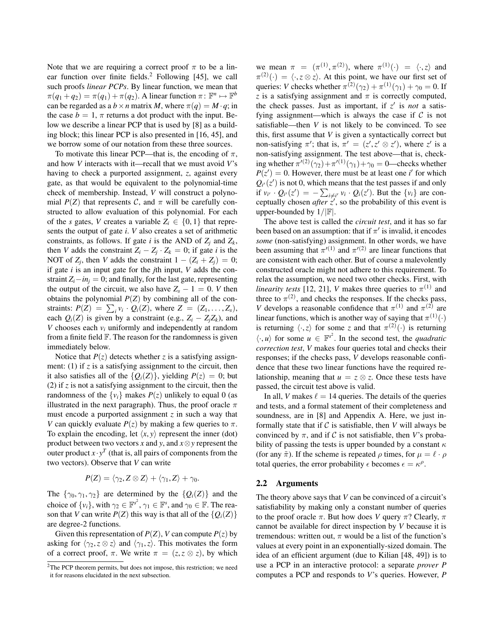Note that we are requiring a correct proof  $\pi$  to be a lin-ear function over finite fields.<sup>2</sup> Following [\[45\]](#page-14-11), we call such proofs *linear PCPs*. By linear function, we mean that  $\pi(q_1+q_2)=\pi(q_1)+\pi(q_2)$ . A linear function  $\pi: \mathbb{F}^n \mapsto \mathbb{F}^b$ can be regarded as a  $b \times n$  matrix *M*, where  $\pi(q) = M \cdot q$ ; in the case  $b = 1$ ,  $\pi$  returns a dot product with the input. Below we describe a linear PCP that is used by [\[8\]](#page-14-12) as a building block; this linear PCP is also presented in [\[16,](#page-14-17) [45\]](#page-14-11), and we borrow some of our notation from these three sources.

To motivate this linear PCP—that is, the encoding of  $\pi$ , and how *V* interacts with it—recall that we must avoid *V*'s having to check a purported assignment, *z*, against every gate, as that would be equivalent to the polynomial-time check of membership. Instead, *V* will construct a polynomial  $P(Z)$  that represents C, and  $\pi$  will be carefully constructed to allow evaluation of this polynomial. For each of the *s* gates, *V* creates a variable  $Z_i \in \{0, 1\}$  that represents the output of gate *i*. *V* also creates a set of arithmetic constraints, as follows. If gate *i* is the AND of  $Z_i$  and  $Z_k$ , then *V* adds the constraint  $Z_i - Z_j \cdot Z_k = 0$ ; if gate *i* is the NOT of  $Z_j$ , then *V* adds the constraint  $1 - (Z_i + Z_j) = 0$ ; if gate *i* is an input gate for the *j*th input, *V* adds the constraint  $Z_i - in_j = 0$ ; and finally, for the last gate, representing the output of the circuit, we also have  $Z_s - 1 = 0$ . *V* then obtains the polynomial  $P(Z)$  by combining all of the constraints:  $P(Z) = \sum_i v_i \cdot Q_i(Z)$ , where  $Z = (Z_1, \ldots, Z_s)$ , each  $Q_i(Z)$  is given by a constraint (e.g.,  $Z_i - Z_iZ_k$ ), and *V* chooses each *v<sup>i</sup>* uniformly and independently at random from a finite field  $\mathbb F$ . The reason for the randomness is given immediately below.

Notice that  $P(z)$  detects whether *z* is a satisfying assignment: (1) if *z* is a satisfying assignment to the circuit, then it also satisfies all of the  $\{Q_i(Z)\}\$ , yielding  $P(z) = 0$ ; but (2) if *z* is not a satisfying assignment to the circuit, then the randomness of the  $\{v_i\}$  makes  $P(z)$  unlikely to equal 0 (as illustrated in the next paragraph). Thus, the proof oracle  $\pi$ must encode a purported assignment *z* in such a way that *V* can quickly evaluate  $P(z)$  by making a few queries to  $\pi$ . To explain the encoding, let  $\langle x, y \rangle$  represent the inner (dot) product between two vectors *x* and *y*, and *x*⊗*y* represent the outer product  $x \cdot y^T$  (that is, all pairs of components from the two vectors). Observe that *V* can write

$$
P(Z) = \langle \gamma_2, Z \otimes Z \rangle + \langle \gamma_1, Z \rangle + \gamma_0.
$$

The  $\{\gamma_0, \gamma_1, \gamma_2\}$  are determined by the  $\{Q_i(Z)\}\$  and the choice of  $\{v_i\}$ , with  $\gamma_2 \in \mathbb{F}^{s^2}$ ,  $\gamma_1 \in \mathbb{F}^s$ , and  $\gamma_0 \in \mathbb{F}$ . The reason that *V* can write  $P(Z)$  this way is that all of the  $\{Q_i(Z)\}$ are degree-2 functions.

Given this representation of  $P(Z)$ , *V* can compute  $P(z)$  by asking for  $\langle \gamma_2, z \otimes z \rangle$  and  $\langle \gamma_1, z \rangle$ . This motivates the form of a correct proof,  $\pi$ . We write  $\pi = (z, z \otimes z)$ , by which

we mean  $\pi = (\pi^{(1)}, \pi^{(2)})$ , where  $\pi^{(1)}(\cdot) = \langle \cdot, z \rangle$  and  $\pi^{(2)}(\cdot) = \langle \cdot, z \otimes z \rangle$ . At this point, we have our first set of queries: *V* checks whether  $\pi^{(2)}(\gamma_2) + \pi^{(1)}(\gamma_1) + \gamma_0 = 0$ . If *z* is a satisfying assignment and  $\pi$  is correctly computed, the check passes. Just as important, if  $z'$  is *not* a satisfying assignment—which is always the case if  $C$  is not satisfiable—then *V* is not likely to be convinced. To see this, first assume that *V* is given a syntactically correct but non-satisfying  $\pi'$ ; that is,  $\pi' = (z', z' \otimes z')$ , where *z'* is a non-satisfying assignment. The test above—that is, checking whether  $\pi^{\prime(2)}(\gamma_2) + \pi^{\prime(1)}(\gamma_1) + \gamma_0 = 0$ —checks whether  $P(z') = 0$ . However, there must be at least one *i*' for which  $Q_{i'}(z')$  is not 0, which means that the test passes if and only if  $v_{i'} \cdot Q_{i'}(z') = -\sum_{i \neq i'} v_i \cdot Q_i(z')$ . But the  $\{v_i\}$  are conceptually chosen *after*  $z'$ , so the probability of this event is upper-bounded by  $1/|\mathbb{F}|$ .

The above test is called the *circuit test*, and it has so far been based on an assumption: that if  $\pi'$  is invalid, it encodes *some* (non-satisfying) assignment. In other words, we have been assuming that  $\pi^{\prime}(1)$  and  $\pi^{\prime}(2)$  are linear functions that are consistent with each other. But of course a malevolently constructed oracle might not adhere to this requirement. To relax the assumption, we need two other checks. First, with *linearity tests* [\[12,](#page-14-18) [21\]](#page-14-19), *V* makes three queries to  $\pi^{(1)}$  and three to  $\pi^{(2)}$ , and checks the responses. If the checks pass, *V* develops a reasonable confidence that  $\pi^{(1)}$  and  $\pi^{(2)}$  are linear functions, which is another way of saying that  $\pi^{(1)}(\cdot)$ is returning  $\langle \cdot, z \rangle$  for some *z* and that  $\pi^{(2)}(\cdot)$  is returning  $\langle \cdot, u \rangle$  for some  $u \in \mathbb{F}^{s^2}$ . In the second test, the *quadratic correction test*, *V* makes four queries total and checks their responses; if the checks pass, *V* develops reasonable confidence that these two linear functions have the required relationship, meaning that  $u = z \otimes z$ . Once these tests have passed, the circuit test above is valid.

In all, *V* makes  $\ell = 14$  queries. The details of the queries and tests, and a formal statement of their completeness and soundness, are in [\[8\]](#page-14-12) and Appendix [A.](#page-15-1) Here, we just informally state that if  $C$  is satisfiable, then  $V$  will always be convinced by  $\pi$ , and if C is not satisfiable, then *V*'s probability of passing the tests is upper bounded by a constant  $\kappa$ (for any  $\tilde{\pi}$ ). If the scheme is repeated  $\rho$  times, for  $\mu = \ell \cdot \rho$ total queries, the error probability  $\epsilon$  becomes  $\epsilon = \kappa^{\rho}$ .

#### <span id="page-2-0"></span>2.2 Arguments

The theory above says that *V* can be convinced of a circuit's satisfiability by making only a constant number of queries to the proof oracle  $\pi$ . But how does *V* query  $\pi$ ? Clearly,  $\pi$ cannot be available for direct inspection by *V* because it is tremendous: written out,  $\pi$  would be a list of the function's values at every point in an exponentially-sized domain. The idea of an efficient argument (due to Kilian [\[48,](#page-14-9) [49\]](#page-14-10)) is to use a PCP in an interactive protocol: a separate *prover P* computes a PCP and responds to *V*'s queries. However, *P*

<sup>&</sup>lt;sup>2</sup>The PCP theorem permits, but does not impose, this restriction; we need it for reasons elucidated in the next subsection.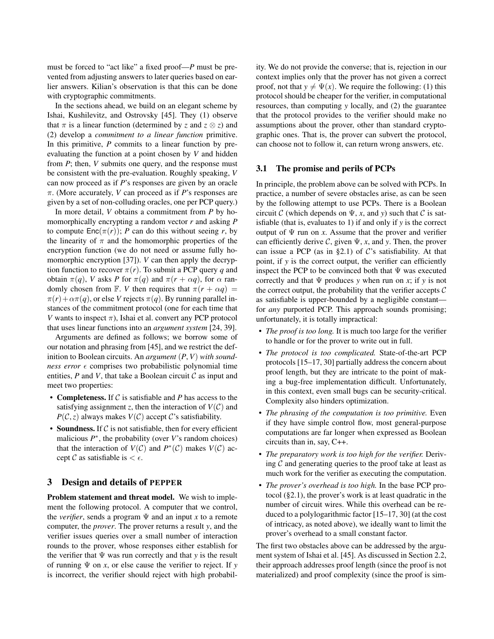must be forced to "act like" a fixed proof—*P* must be prevented from adjusting answers to later queries based on earlier answers. Kilian's observation is that this can be done with cryptographic commitments.

In the sections ahead, we build on an elegant scheme by Ishai, Kushilevitz, and Ostrovsky [\[45\]](#page-14-11). They (1) observe that  $\pi$  is a linear function (determined by *z* and  $z \otimes z$ ) and (2) develop a *commitment to a linear function* primitive. In this primitive, *P* commits to a linear function by preevaluating the function at a point chosen by *V* and hidden from *P*; then, *V* submits one query, and the response must be consistent with the pre-evaluation. Roughly speaking, *V* can now proceed as if *P*'s responses are given by an oracle π. (More accurately, *V* can proceed as if *P*'s responses are given by a set of non-colluding oracles, one per PCP query.)

In more detail, *V* obtains a commitment from *P* by homomorphically encrypting a random vector *r* and asking *P* to compute  $Enc(\pi(r))$ ; *P* can do this without seeing *r*, by the linearity of  $\pi$  and the homomorphic properties of the encryption function (we do not need or assume fully ho-momorphic encryption [\[37\]](#page-14-20)). *V* can then apply the decryption function to recover  $\pi(r)$ . To submit a PCP query *q* and obtain  $\pi(q)$ , *V* asks *P* for  $\pi(q)$  and  $\pi(r + \alpha q)$ , for  $\alpha$  randomly chosen from F. *V* then requires that  $\pi(r + \alpha q)$  $\pi(r) + \alpha \pi(q)$ , or else *V* rejects  $\pi(q)$ . By running parallel instances of the commitment protocol (one for each time that *V* wants to inspect  $\pi$ ), Ishai et al. convert any PCP protocol that uses linear functions into an *argument system* [\[24,](#page-14-7) [39\]](#page-14-8).

Arguments are defined as follows; we borrow some of our notation and phrasing from [\[45\]](#page-14-11), and we restrict the definition to Boolean circuits. An *argument* (*P*, *V*) *with soundness error*  $\epsilon$  comprises two probabilistic polynomial time entities,  $P$  and  $V$ , that take a Boolean circuit  $C$  as input and meet two properties:

- Completeness. If C is satisfiable and *P* has access to the satisfying assignment *z*, then the interaction of  $V(C)$  and  $P(C, z)$  always makes  $V(C)$  accept C's satisfiability.
- Soundness. If  $C$  is not satisfiable, then for every efficient malicious  $P^*$ , the probability (over  $V$ 's random choices) that the interaction of  $V(C)$  and  $P^*(C)$  makes  $V(C)$  accept  $\mathcal C$  as satisfiable is  $\lt \epsilon$ .

# <span id="page-3-0"></span>3 Design and details of PEPPER

Problem statement and threat model. We wish to implement the following protocol. A computer that we control, the *verifier*, sends a program  $\Psi$  and an input *x* to a remote computer, the *prover*. The prover returns a result *y*, and the verifier issues queries over a small number of interaction rounds to the prover, whose responses either establish for the verifier that  $\Psi$  was run correctly and that *y* is the result of running Ψ on *x*, or else cause the verifier to reject. If *y* is incorrect, the verifier should reject with high probability. We do not provide the converse; that is, rejection in our context implies only that the prover has not given a correct proof, not that  $y \neq \Psi(x)$ . We require the following: (1) this protocol should be cheaper for the verifier, in computational resources, than computing *y* locally, and (2) the guarantee that the protocol provides to the verifier should make no assumptions about the prover, other than standard cryptographic ones. That is, the prover can subvert the protocol, can choose not to follow it, can return wrong answers, etc.

# <span id="page-3-1"></span>3.1 The promise and perils of PCPs

In principle, the problem above can be solved with PCPs. In practice, a number of severe obstacles arise, as can be seen by the following attempt to use PCPs. There is a Boolean circuit C (which depends on  $\Psi$ , *x*, and *y*) such that C is satisfiable (that is, evaluates to 1) if and only if *y* is the correct output of  $\Psi$  run on *x*. Assume that the prover and verifier can efficiently derive  $\mathcal{C}$ , given  $\Psi$ , *x*, and *y*. Then, the prover can issue a PCP (as in [§2.1\)](#page-1-1) of  $\mathcal{C}$ 's satisfiability. At that point, if *y* is the correct output, the verifier can efficiently inspect the PCP to be convinced both that  $\Psi$  was executed correctly and that Ψ produces *y* when run on *x*; if *y* is not the correct output, the probability that the verifier accepts  $C$ as satisfiable is upper-bounded by a negligible constant for *any* purported PCP. This approach sounds promising; unfortunately, it is totally impractical:

- *The proof is too long.* It is much too large for the verifier to handle or for the prover to write out in full.
- *The protocol is too complicated.* State-of-the-art PCP protocols [\[15–](#page-14-14)[17,](#page-14-15) [30\]](#page-14-16) partially address the concern about proof length, but they are intricate to the point of making a bug-free implementation difficult. Unfortunately, in this context, even small bugs can be security-critical. Complexity also hinders optimization.
- *The phrasing of the computation is too primitive.* Even if they have simple control flow, most general-purpose computations are far longer when expressed as Boolean circuits than in, say, C++.
- *The preparatory work is too high for the verifier.* Deriving  $\mathcal C$  and generating queries to the proof take at least as much work for the verifier as executing the computation.
- *The prover's overhead is too high.* In the base PCP protocol ([§2.1\)](#page-1-1), the prover's work is at least quadratic in the number of circuit wires. While this overhead can be reduced to a polylogarithmic factor [\[15–](#page-14-14)[17,](#page-14-15) [30\]](#page-14-16) (at the cost of intricacy, as noted above), we ideally want to limit the prover's overhead to a small constant factor.

The first two obstacles above can be addressed by the argument system of Ishai et al. [\[45\]](#page-14-11). As discussed in Section [2.2,](#page-2-0) their approach addresses proof length (since the proof is not materialized) and proof complexity (since the proof is sim-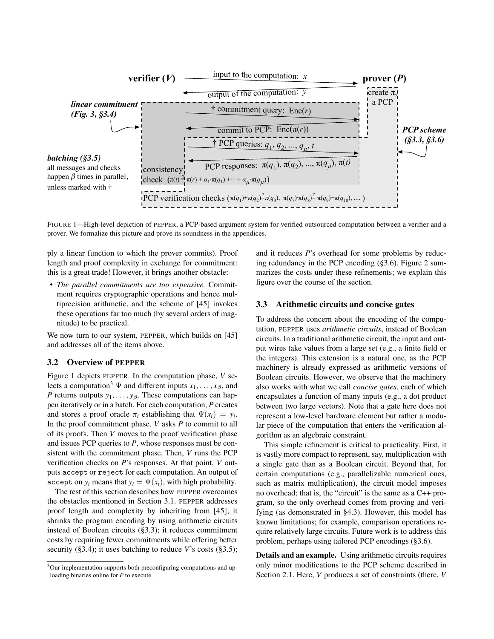

<span id="page-4-1"></span>FIGURE 1—High-level depiction of PEPPER, a PCP-based argument system for verified outsourced computation between a verifier and a prover. We formalize this picture and prove its soundness in the appendices.

ply a linear function to which the prover commits). Proof length and proof complexity in exchange for commitment: this is a great trade! However, it brings another obstacle:

• *The parallel commitments are too expensive.* Commitment requires cryptographic operations and hence multiprecision arithmetic, and the scheme of [\[45\]](#page-14-11) invokes these operations far too much (by several orders of magnitude) to be practical.

We now turn to our system, PEPPER, which builds on [\[45\]](#page-14-11) and addresses all of the items above.

### <span id="page-4-2"></span>3.2 Overview of PEPPER

Figure [1](#page-4-1) depicts PEPPER. In the computation phase, *V* selects a computation<sup>3</sup>  $\Psi$  and different inputs  $x_1, \ldots, x_\beta$ , and *P* returns outputs  $y_1, \ldots, y_\beta$ . These computations can happen iteratively or in a batch. For each computation, *P* creates and stores a proof oracle  $\pi_i$  establishing that  $\Psi(x_i) = y_i$ . In the proof commitment phase, *V* asks *P* to commit to all of its proofs. Then *V* moves to the proof verification phase and issues PCP queries to *P*, whose responses must be consistent with the commitment phase. Then, *V* runs the PCP verification checks on *P*'s responses. At that point, *V* outputs accept or reject for each computation. An output of accept on  $y_i$  means that  $y_i = \Psi(x_i)$ , with high probability.

The rest of this section describes how PEPPER overcomes the obstacles mentioned in Section [3.1.](#page-3-1) PEPPER addresses proof length and complexity by inheriting from [\[45\]](#page-14-11); it shrinks the program encoding by using arithmetic circuits instead of Boolean circuits ([§3.3\)](#page-4-0); it reduces commitment costs by requiring fewer commitments while offering better security ([§3.4\)](#page-6-0); it uses batching to reduce *V*'s costs ([§3.5\)](#page-7-1);

and it reduces *P*'s overhead for some problems by reducing redundancy in the PCP encoding ([§3.6\)](#page-7-0). Figure [2](#page-5-0) summarizes the costs under these refinements; we explain this figure over the course of the section.

#### <span id="page-4-0"></span>3.3 Arithmetic circuits and concise gates

To address the concern about the encoding of the computation, PEPPER uses *arithmetic circuits*, instead of Boolean circuits. In a traditional arithmetic circuit, the input and output wires take values from a large set (e.g., a finite field or the integers). This extension is a natural one, as the PCP machinery is already expressed as arithmetic versions of Boolean circuits. However, we observe that the machinery also works with what we call *concise gates*, each of which encapsulates a function of many inputs (e.g., a dot product between two large vectors). Note that a gate here does not represent a low-level hardware element but rather a modular piece of the computation that enters the verification algorithm as an algebraic constraint.

This simple refinement is critical to practicality. First, it is vastly more compact to represent, say, multiplication with a single gate than as a Boolean circuit. Beyond that, for certain computations (e.g., parallelizable numerical ones, such as matrix multiplication), the circuit model imposes no overhead; that is, the "circuit" is the same as a C++ program, so the only overhead comes from proving and verifying (as demonstrated in [§4.3\)](#page-9-1). However, this model has known limitations; for example, comparison operations require relatively large circuits. Future work is to address this problem, perhaps using tailored PCP encodings ([§3.6\)](#page-7-0).

Details and an example. Using arithmetic circuits requires only minor modifications to the PCP scheme described in Section [2.1.](#page-1-1) Here, *V* produces a set of constraints (there, *V*

 $3$ Our implementation supports both preconfiguring computations and uploading binaries online for *P* to execute.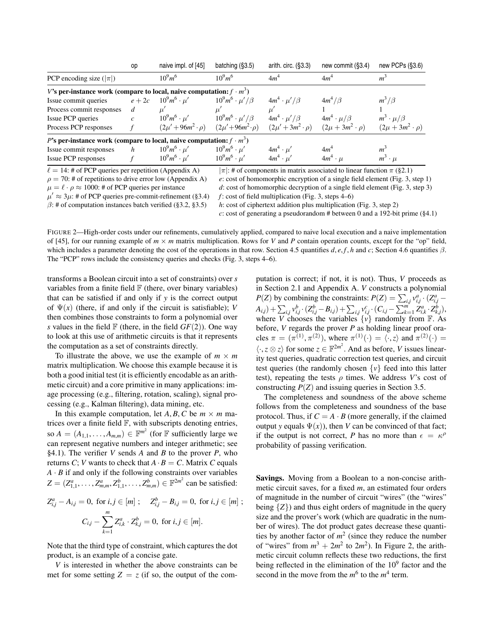|                                                                             | op                                                             | naive impl. of [45]                                       | batching $(\S3.5)$         | arith. circ. $(S3.3)$                                                           | new commit (§3.4)                                                              | new PCPs (§3.6)            |  |  |
|-----------------------------------------------------------------------------|----------------------------------------------------------------|-----------------------------------------------------------|----------------------------|---------------------------------------------------------------------------------|--------------------------------------------------------------------------------|----------------------------|--|--|
| PCP encoding size $( \pi )$                                                 |                                                                | $10^{9}m^{6}$                                             | $10^{9}m^{6}$              | 4m <sup>4</sup>                                                                 | 4m <sup>4</sup>                                                                | m <sup>3</sup>             |  |  |
| V's per-instance work (compare to local, naive computation: $f \cdot m^3$ ) |                                                                |                                                           |                            |                                                                                 |                                                                                |                            |  |  |
| Issue commit queries                                                        |                                                                | $e + 2c \t 10^9 m^6 \cdot \mu'$                           | $10^9m^6 \cdot \mu'/\beta$ | $4m^4 \cdot \mu'/\beta$                                                         | $4m^4/\beta$                                                                   | $m^3/\beta$                |  |  |
| Process commit responses                                                    | d                                                              |                                                           |                            |                                                                                 |                                                                                |                            |  |  |
| Issue PCP queries                                                           | $\mathcal{C}$                                                  | $10^9m^6 \cdot \mu'$                                      | $10^9m^6 \cdot \mu'/\beta$ | $4m^4 \cdot \mu'/\beta$                                                         | $4m^4 \cdot \mu/\beta$                                                         | $m^3 \cdot \mu/\beta$      |  |  |
| Process PCP responses                                                       |                                                                | $(2\mu' + 96m^2 \cdot \rho)$ $(2\mu' + 96m^2 \cdot \rho)$ |                            | $(2\mu'+3m^2\cdot\rho)$                                                         | $(2\mu + 3m^2 \cdot \rho)$                                                     | $(2\mu + 3m^2 \cdot \rho)$ |  |  |
| P's per-instance work (compare to local, naive computation: $f \cdot m^3$ ) |                                                                |                                                           |                            |                                                                                 |                                                                                |                            |  |  |
| Issue commit responses                                                      | h                                                              | $10^9m^6 \cdot \mu'$                                      | $10^9m^6 \cdot \mu'$       | $4m^4 \cdot \mu'$                                                               | 4m <sup>4</sup>                                                                | m <sup>3</sup>             |  |  |
| Issue PCP responses                                                         |                                                                | $10^9m^6 \cdot \mu'$                                      | $10^9m^6 \cdot \mu'$       | $4m^4 \cdot \mu'$                                                               | $4m^4 \cdot \mu$                                                               | $m^3 \cdot \mu$            |  |  |
| $\ell = 14$ : # of PCP queries per repetition (Appendix A)                  |                                                                |                                                           |                            |                                                                                 | $ \pi $ : # of components in matrix associated to linear function $\pi$ (§2.1) |                            |  |  |
|                                                                             | $\rho = 70$ : # of repetitions to drive error low (Appendix A) |                                                           |                            | $e$ : cost of homomorphic encryption of a single field element (Fig. 3, step 1) |                                                                                |                            |  |  |

 $\mu' \approx 3\mu$ : # of PCP queries pre-commit-refinement ([§3.4\)](#page-6-0) *f* : cost of field multiplication (Fig. [3,](#page-6-1) steps [4](#page-6-4)[–6\)](#page-6-5)

 $\mu = \ell \cdot \rho \approx 1000$ : # of PCP queries per instance *d*: cost of homomorphic decryption of a single field element (Fig. [3,](#page-6-1) step [3\)](#page-6-3)

<span id="page-5-0"></span>β: # of computation instances batch verified ([§3.2,](#page-4-2) [§3.5\)](#page-7-1) *h*: cost of ciphertext addition plus multiplication (Fig. [3,](#page-6-1) step [2\)](#page-6-6)

*c*: cost of generating a pseudorandom # between 0 and a 192-bit prime ([§4.1\)](#page-8-1)

FIGURE 2—High-order costs under our refinements, cumulatively applied, compared to naive local execution and a naive implementation of [\[45\]](#page-14-11), for our running example of  $m \times m$  matrix multiplication. Rows for *V* and *P* contain operation counts, except for the "op" field, which includes a parameter denoting the cost of the operations in that row. Section [4.5](#page-11-0) quantifies *d*, *e*, *f*, *h* and *c*; Section [4.6](#page-12-1) quantifies  $\beta$ . The "PCP" rows include the consistency queries and checks (Fig. [3,](#page-6-1) steps [4–](#page-6-4)[6\)](#page-6-5).

transforms a Boolean circuit into a set of constraints) over *s* variables from a finite field  $F$  (there, over binary variables) that can be satisfied if and only if *y* is the correct output of  $\Psi(x)$  (there, if and only if the circuit is satisfiable); *V* then combines those constraints to form a polynomial over *s* values in the field  $\mathbb{F}$  (there, in the field  $GF(2)$ ). One way to look at this use of arithmetic circuits is that it represents the computation as a set of constraints directly.

To illustrate the above, we use the example of  $m \times m$ matrix multiplication. We choose this example because it is both a good initial test (it is efficiently encodable as an arithmetic circuit) and a core primitive in many applications: image processing (e.g., filtering, rotation, scaling), signal processing (e.g., Kalman filtering), data mining, etc.

In this example computation, let *A*, *B*, *C* be  $m \times m$  matrices over a finite field F, with subscripts denoting entries, so  $A = (A_{1,1}, \ldots, A_{m,m}) \in \mathbb{F}^{m^2}$  (for  $\mathbb F$  sufficiently large we can represent negative numbers and integer arithmetic; see [§4.1\)](#page-8-1). The verifier *V* sends *A* and *B* to the prover *P*, who returns *C*; *V* wants to check that  $A \cdot B = C$ . Matrix *C* equals *A* · *B* if and only if the following constraints over variables  $Z = (Z_{1,1}^a, \dots, Z_{m,m}^a, Z_{1,1}^b, \dots, Z_{m,m}^b) \in \mathbb{F}^{2m^2}$  can be satisfied: *<sup>i</sup>*,*<sup>j</sup>* − *A<sup>i</sup>*,*<sup>j</sup>* = 0, for *i*, *j* ∈ [*m*] ; *Z b*

$$
Z_{i,j}^a - A_{i,j} = 0, \text{ for } i, j \in [m]; \quad Z_{i,j}^b - B_{i,j} = 0, \text{ for } i, j \in [m];
$$

$$
C_{i,j} - \sum_{k=1}^m Z_{i,k}^a \cdot Z_{k,j}^b = 0, \text{ for } i, j \in [m].
$$

Note that the third type of constraint, which captures the dot product, is an example of a concise gate.

*V* is interested in whether the above constraints can be met for some setting  $Z = z$  (if so, the output of the com-

putation is correct; if not, it is not). Thus, *V* proceeds as in Section [2.1](#page-1-1) and Appendix [A.](#page-15-1) *V* constructs a polynomial *P*(*Z*) by combining the constraints:  $P(Z) = \sum_{i,j} v_{i,j}^a \cdot (Z_{i,j}^a - Z_{i,j}^a)$  $\left(A_{i,j}\right)+\sum_{i,j}v_{i,j}^{b}\cdot\left(Z_{i,j}^{b}-B_{i,j}\right)+\sum_{i,j}v_{i,j}^{c}\cdot\left(C_{i,j}-\sum_{k=1}^{m}Z_{i,k}^{a}\cdot Z_{k,j}^{b}\right),$ where  $\overline{V}$  chooses the variables  $\{v\}$  randomly from  $\mathbb{F}$ . As before, *V* regards the prover *P* as holding linear proof oracles  $\pi = (\pi^{(1)}, \pi^{(2)})$ , where  $\pi^{(1)}(\cdot) = \langle \cdot, z \rangle$  and  $\pi^{(2)}(\cdot) =$  $\langle \cdot, z \otimes z \rangle$  for some  $z \in \mathbb{F}^{2m^2}$ . And as before, *V* issues linearity test queries, quadratic correction test queries, and circuit test queries (the randomly chosen  $\{v\}$  feed into this latter test), repeating the tests  $\rho$  times. We address *V*'s cost of constructing *P*(*Z*) and issuing queries in Section [3.5.](#page-7-1)

The completeness and soundness of the above scheme follows from the completeness and soundness of the base protocol. Thus, if  $C = A \cdot B$  (more generally, if the claimed output *y* equals  $\Psi(x)$ , then *V* can be convinced of that fact; if the output is not correct, *P* has no more than  $\epsilon = \kappa^{\rho}$ probability of passing verification.

Savings. Moving from a Boolean to a non-concise arithmetic circuit saves, for a fixed *m*, an estimated four orders of magnitude in the number of circuit "wires" (the "wires" being  $\{Z\}$ ) and thus eight orders of magnitude in the query size and the prover's work (which are quadratic in the number of wires). The dot product gates decrease these quantities by another factor of  $m<sup>2</sup>$  (since they reduce the number of "wires" from  $m^3 + 2m^2$  to  $2m^2$ ). In Figure [2,](#page-5-0) the arithmetic circuit column reflects these two reductions, the first being reflected in the elimination of the  $10<sup>9</sup>$  factor and the second in the move from the  $m^6$  to the  $m^4$  term.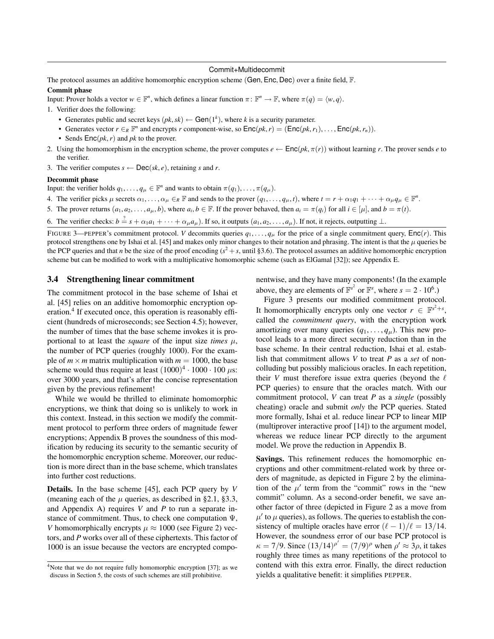#### Commit+Multidecommit

The protocol assumes an additive homomorphic encryption scheme (Gen, Enc, Dec) over a finite field, F.

# Commit phase

Input: Prover holds a vector  $w \in \mathbb{F}^n$ , which defines a linear function  $\pi \colon \mathbb{F}^n \to \mathbb{F}$ , where  $\pi(q) = \langle w, q \rangle$ .

<span id="page-6-2"></span>1. Verifier does the following:

- Generates public and secret keys  $(pk, sk) \leftarrow \text{Gen}(1^k)$ , where *k* is a security parameter.
- Generates vector  $r \in_R \mathbb{F}^n$  and encrypts  $r$  component-wise, so  $\text{Enc}(pk, r) = (\text{Enc}(pk, r_1), \ldots, \text{Enc}(pk, r_n)).$
- Sends Enc(*pk*,*r*) and *pk* to the prover.
- <span id="page-6-6"></span>2. Using the homomorphism in the encryption scheme, the prover computes  $e \leftarrow \text{Enc}(pk, \pi(r))$  without learning *r*. The prover sends *e* to the verifier.
- <span id="page-6-3"></span>3. The verifier computes  $s \leftarrow \text{Dec}(sk, e)$ , retaining *s* and *r*.

#### Decommit phase

Input: the verifier holds  $q_1, \ldots, q_\mu \in \mathbb{F}^n$  and wants to obtain  $\pi(q_1), \ldots, \pi(q_\mu)$ .

- <span id="page-6-4"></span>4. The verifier picks  $\mu$  secrets  $\alpha_1, \ldots, \alpha_\mu \in_R \mathbb{F}$  and sends to the prover  $(q_1, \ldots, q_\mu, t)$ , where  $t = r + \alpha_1 q_1 + \cdots + \alpha_\mu q_\mu \in \mathbb{F}^n$ .
- <span id="page-6-7"></span>5. The prover returns  $(a_1, a_2, \ldots, a_\mu, b)$ , where  $a_i, b \in \mathbb{F}$ . If the prover behaved, then  $a_i = \pi(q_i)$  for all  $i \in [\mu]$ , and  $b = \pi(t)$ .
- <span id="page-6-5"></span>6. The verifier checks:  $b = s + \alpha_1 a_1 + \cdots + \alpha_\mu a_\mu$ ). If so, it outputs  $(a_1, a_2, \ldots, a_\mu)$ . If not, it rejects, outputting ⊥.

<span id="page-6-1"></span>FIGURE 3—PEPPER's commitment protocol. *V* decommits queries  $q_1, \ldots, q_\mu$  for the price of a single commitment query,  $\text{Enc}(r)$ . This protocol strengthens one by Ishai et al. [\[45\]](#page-14-11) and makes only minor changes to their notation and phrasing. The intent is that the  $\mu$  queries be the PCP queries and that *n* be the size of the proof encoding ( $s^2 + s$ , until [§3.6\)](#page-7-0). The protocol assumes an additive homomorphic encryption scheme but can be modified to work with a multiplicative homomorphic scheme (such as ElGamal [\[32\]](#page-14-21)); see Appendix [E.](#page-19-0)

# <span id="page-6-0"></span>3.4 Strengthening linear commitment

The commitment protocol in the base scheme of Ishai et al. [\[45\]](#page-14-11) relies on an additive homomorphic encryption operation.<sup>4</sup> If executed once, this operation is reasonably efficient (hundreds of microseconds; see Section [4.5\)](#page-11-0); however, the number of times that the base scheme invokes it is proportional to at least the *square* of the input size *times*  $\mu$ , the number of PCP queries (roughly 1000). For the example of  $m \times m$  matrix multiplication with  $m = 1000$ , the base scheme would thus require at least  $(1000)^4 \cdot 1000 \cdot 100 \mu s$ : over 3000 years, and that's after the concise representation given by the previous refinement!

While we would be thrilled to eliminate homomorphic encryptions, we think that doing so is unlikely to work in this context. Instead, in this section we modify the commitment protocol to perform three orders of magnitude fewer encryptions; Appendix [B](#page-15-2) proves the soundness of this modification by reducing its security to the semantic security of the homomorphic encryption scheme. Moreover, our reduction is more direct than in the base scheme, which translates into further cost reductions.

Details. In the base scheme [\[45\]](#page-14-11), each PCP query by *V* (meaning each of the  $\mu$  queries, as described in [§2.1,](#page-1-1) [§3.3,](#page-4-0) and Appendix [A\)](#page-15-1) requires *V* and *P* to run a separate instance of commitment. Thus, to check one computation  $\Psi$ , *V* homomorphically encrypts  $\mu \approx 1000$  (see Figure [2\)](#page-5-0) vectors, and *P* works over all of these ciphertexts. This factor of 1000 is an issue because the vectors are encrypted componentwise, and they have many components! (In the example above, they are elements of  $\mathbb{F}^{s^2}$  or  $\mathbb{F}^s$ , where  $s = 2 \cdot 10^6$ .)

Figure [3](#page-6-1) presents our modified commitment protocol. It homomorphically encrypts only one vector  $r \in \mathbb{F}^{s^2+s}$ , called the *commitment query*, with the encryption work amortizing over many queries  $(q_1, \ldots, q_\mu)$ . This new protocol leads to a more direct security reduction than in the base scheme. In their central reduction, Ishai et al. establish that commitment allows *V* to treat *P* as a *set* of noncolluding but possibly malicious oracles. In each repetition, their *V* must therefore issue extra queries (beyond the  $\ell$ PCP queries) to ensure that the oracles match. With our commitment protocol, *V* can treat *P* as a *single* (possibly cheating) oracle and submit *only* the PCP queries. Stated more formally, Ishai et al. reduce linear PCP to linear MIP (multiprover interactive proof [\[14\]](#page-14-22)) to the argument model, whereas we reduce linear PCP directly to the argument model. We prove the reduction in Appendix [B.](#page-15-2)

Savings. This refinement reduces the homomorphic encryptions and other commitment-related work by three orders of magnitude, as depicted in Figure [2](#page-5-0) by the elimination of the  $\mu'$  term from the "commit" rows in the "new commit" column. As a second-order benefit, we save another factor of three (depicted in Figure [2](#page-5-0) as a move from  $\mu'$  to  $\mu$  queries), as follows. The queries to establish the consistency of multiple oracles have error  $(\ell - 1)/\ell = 13/14$ . However, the soundness error of our base PCP protocol is  $\kappa = 7/9$ . Since  $(13/14)^{\rho'} = (7/9)^{\rho}$  when  $\rho' \approx 3\rho$ , it takes roughly three times as many repetitions of the protocol to contend with this extra error. Finally, the direct reduction yields a qualitative benefit: it simplifies PEPPER.

<sup>&</sup>lt;sup>4</sup>Note that we do not require fully homomorphic encryption [\[37\]](#page-14-20); as we discuss in Section [5,](#page-12-0) the costs of such schemes are still prohibitive.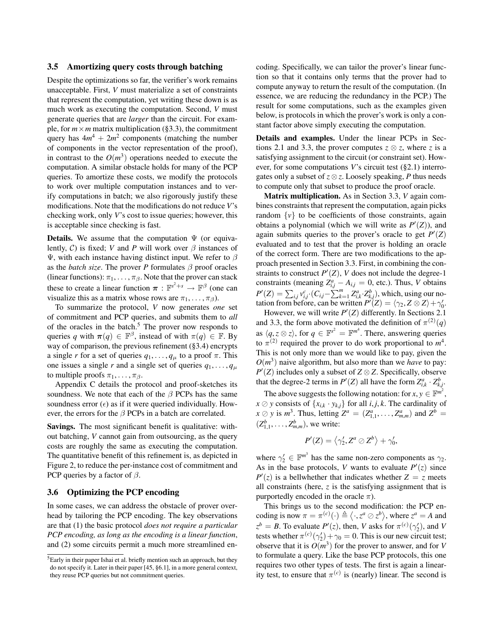#### <span id="page-7-1"></span>3.5 Amortizing query costs through batching

Despite the optimizations so far, the verifier's work remains unacceptable. First, *V* must materialize a set of constraints that represent the computation, yet writing these down is as much work as executing the computation. Second, *V* must generate queries that are *larger* than the circuit. For example, for  $m \times m$  matrix multiplication ([§3.3\)](#page-4-0), the commitment query has  $4m^4 + 2m^2$  components (matching the number of components in the vector representation of the proof), in contrast to the  $O(m^3)$  operations needed to execute the computation. A similar obstacle holds for many of the PCP queries. To amortize these costs, we modify the protocols to work over multiple computation instances and to verify computations in batch; we also rigorously justify these modifications. Note that the modifications do not reduce *V*'s checking work, only *V*'s cost to issue queries; however, this is acceptable since checking is fast.

**Details.** We assume that the computation  $\Psi$  (or equivalently,  $C$ ) is fixed; *V* and *P* will work over  $\beta$  instances of Ψ, with each instance having distinct input. We refer to  $β$ as the *batch size*. The prover *P* formulates  $\beta$  proof oracles (linear functions):  $\pi_1, \ldots, \pi_\beta$ . Note that the prover can stack these to create a linear function  $\pi : \mathbb{F}^{s^2+s} \to \mathbb{F}^{\beta}$  (one can visualize this as a matrix whose rows are  $\pi_1, \ldots, \pi_\beta$ ).

To summarize the protocol, *V* now generates *one* set of commitment and PCP queries, and submits them to *all* of the oracles in the batch.<sup>5</sup> The prover now responds to queries q with  $\pi(q) \in \mathbb{F}^{\beta}$ , instead of with  $\pi(q) \in \mathbb{F}$ . By way of comparison, the previous refinement ([§3.4\)](#page-6-0) encrypts a single *r* for a set of queries  $q_1, \ldots, q_\mu$  to a proof  $\pi$ . This one issues a single *r* and a single set of queries  $q_1, \ldots, q_\mu$ to multiple proofs  $\pi_1, \ldots, \pi_\beta$ .

Appendix [C](#page-17-0) details the protocol and proof-sketches its soundness. We note that each of the  $\beta$  PCPs has the same soundness error  $(\epsilon)$  as if it were queried individually. However, the errors for the  $\beta$  PCPs in a batch are correlated.

Savings. The most significant benefit is qualitative: without batching, *V* cannot gain from outsourcing, as the query costs are roughly the same as executing the computation. The quantitative benefit of this refinement is, as depicted in Figure [2,](#page-5-0) to reduce the per-instance cost of commitment and PCP queries by a factor of  $\beta$ .

### <span id="page-7-0"></span>3.6 Optimizing the PCP encoding

In some cases, we can address the obstacle of prover overhead by tailoring the PCP encoding. The key observations are that (1) the basic protocol *does not require a particular PCP encoding, as long as the encoding is a linear function*, and (2) some circuits permit a much more streamlined encoding. Specifically, we can tailor the prover's linear function so that it contains only terms that the prover had to compute anyway to return the result of the computation. (In essence, we are reducing the redundancy in the PCP.) The result for some computations, such as the examples given below, is protocols in which the prover's work is only a constant factor above simply executing the computation.

Details and examples. Under the linear PCPs in Sec-tions [2.1](#page-1-1) and [3.3,](#page-4-0) the prover computes  $z \otimes z$ , where *z* is a satisfying assignment to the circuit (or constraint set). However, for some computations *V*'s circuit test ([§2.1\)](#page-1-1) interrogates only a subset of  $z \otimes z$ . Loosely speaking, *P* thus needs to compute only that subset to produce the proof oracle.

Matrix multiplication. As in Section [3.3,](#page-4-0) *V* again combines constraints that represent the computation, again picks random  $\{v\}$  to be coefficients of those constraints, again obtains a polynomial (which we will write as  $P'(Z)$ ), and again submits queries to the prover's oracle to get  $P'(Z)$ evaluated and to test that the prover is holding an oracle of the correct form. There are two modifications to the approach presented in Section [3.3.](#page-4-0) First, in combining the constraints to construct  $P'(Z)$ , *V* does not include the degree-1 constraints (meaning  $Z_{i,j}^a - A_{i,j} = 0$ , etc.). Thus, *V* obtains  $P'(Z) = \sum_{i,j} v_{i,j}^c \cdot (C_{i,j} - \sum_{k=1}^m Z_{i,k}^a \cdot Z_{k,j}^b)$ , which, using our notation from before, can be written  $P'(Z) = \langle \gamma_2, Z \otimes Z \rangle + \gamma'_0$ .

However, we will write  $P'(Z)$  differently. In Sections [2.1](#page-1-1) and [3.3,](#page-4-0) the form above motivated the definition of  $\pi^{(2)}(q)$ as  $\langle q, z \otimes z \rangle$ , for  $q \in \mathbb{F}^{s^2} = \mathbb{F}^{m^4}$ . There, answering queries to  $\pi^{(2)}$  required the prover to do work proportional to  $m^4$ . This is not only more than we would like to pay, given the  $O(m^3)$  naive algorithm, but also more than we *have* to pay:  $P'(Z)$  includes only a subset of  $Z \otimes Z$ . Specifically, observe that the degree-2 terms in  $P'(Z)$  all have the form  $Z_{i,k}^a \cdot Z_{k,j}^b$ .

The above suggests the following notation: for  $x, y \in \mathbb{F}^{m^2}$ ,  $x \oslash y$  consists of  $\{x_{i,k} \cdot y_{k,j}\}$  for all *i*, *j*, *k*. The cardinality of  $x \oslash y$  is  $m^3$ . Thus, letting  $Z^a = (Z^a_{1,1}, \ldots, Z^a_{m,m})$  and  $Z^b =$  $(Z_{1,1}^b, \ldots, Z_{m,m}^b)$ , we write:

$$
P'(Z) = \left\langle \gamma_2', Z^a \oslash Z^b \right\rangle + \gamma_0',
$$

where  $\gamma_2' \in \mathbb{F}^{m^3}$  has the same non-zero components as  $\gamma_2$ . As in the base protocols, *V* wants to evaluate  $P'(z)$  since  $P'(z)$  is a bellwhether that indicates whether  $Z = z$  meets all constraints (here, *z* is the satisfying assignment that is purportedly encoded in the oracle  $\pi$ ).

This brings us to the second modification: the PCP encoding is now  $\pi = \pi^{(c)}(\cdot) \triangleq \langle \cdot, z^a \otimes z^b \rangle$ , where  $z^a = A$  and  $z^b = B$ . To evaluate  $P'(z)$ , then, *V* asks for  $\pi^{(c)}(\gamma_2')$ , and *V* tests whether  $\pi^{(c)}(\gamma_2') + \gamma_0 = 0$ . This is our new circuit test; observe that it is  $O(m^3)$  for the prover to answer, and for *V* to formulate a query. Like the base PCP protocols, this one requires two other types of tests. The first is again a linearity test, to ensure that  $\pi^{(c)}$  is (nearly) linear. The second is

<sup>&</sup>lt;sup>5</sup>Early in their paper Ishai et al. briefly mention such an approach, but they do not specify it. Later in their paper [\[45,](#page-14-11) §6.1], in a more general context, they reuse PCP queries but not commitment queries.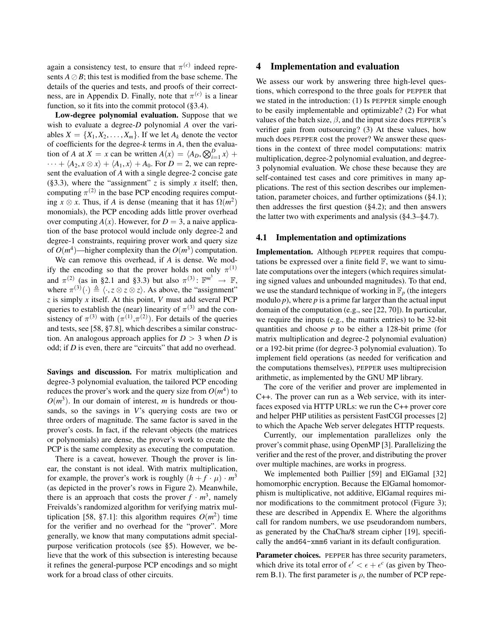again a consistency test, to ensure that  $\pi^{(c)}$  indeed represents  $A \oslash B$ ; this test is modified from the base scheme. The details of the queries and tests, and proofs of their correct-ness, are in Appendix [D.](#page-18-0) Finally, note that  $\pi^{(c)}$  is a linear function, so it fits into the commit protocol ([§3.4\)](#page-6-0).

Low-degree polynomial evaluation. Suppose that we wish to evaluate a degree-*D* polynomial *A* over the variables  $X = \{X_1, X_2, \ldots, X_m\}$ . If we let  $A_k$  denote the vector of coefficients for the degree-*k* terms in *A*, then the evaluation of *A* at *X* = *x* can be written  $A(x) = \langle A_D, \bigotimes_{i=1}^D x \rangle +$  $\cdots + \langle A_2, x \otimes x \rangle + \langle A_1, x \rangle + A_0$ . For  $D = 2$ , we can represent the evaluation of *A* with a single degree-2 concise gate ([§3.3\)](#page-4-0), where the "assignment"  $z$  is simply  $x$  itself; then, computing  $\pi^{(2)}$  in the base PCP encoding requires computing  $x \otimes x$ . Thus, if *A* is dense (meaning that it has  $\Omega(m^2)$ ) monomials), the PCP encoding adds little prover overhead over computing  $A(x)$ . However, for  $D = 3$ , a naive application of the base protocol would include only degree-2 and degree-1 constraints, requiring prover work and query size of  $O(m^4)$ —higher complexity than the  $O(m^3)$  computation.

We can remove this overhead, if *A* is dense. We modify the encoding so that the prover holds not only  $\pi^{(1)}$ and  $\pi^{(2)}$  (as in [§2.1](#page-1-1) and [§3.3\)](#page-4-0) but also  $\pi^{(3)}$ :  $\mathbb{F}^{m^3} \to \mathbb{F}$ , where  $\pi^{(3)}(\cdot) \triangleq \langle \cdot, z \otimes z \otimes z \rangle$ . As above, the "assignment" *z* is simply *x* itself. At this point, *V* must add several PCP queries to establish the (near) linearity of  $\pi^{(3)}$  and the consistency of  $\pi^{(3)}$  with  $(\pi^{(1)}, \pi^{(2)})$ . For details of the queries and tests, see [\[58,](#page-14-23) §7.8], which describes a similar construction. An analogous approach applies for  $D > 3$  when *D* is odd; if *D* is even, there are "circuits" that add no overhead.

Savings and discussion. For matrix multiplication and degree-3 polynomial evaluation, the tailored PCP encoding reduces the prover's work and the query size from  $O(m^4)$  to  $O(m^3)$ . In our domain of interest, *m* is hundreds or thousands, so the savings in *V*'s querying costs are two or three orders of magnitude. The same factor is saved in the prover's costs. In fact, if the relevant objects (the matrices or polynomials) are dense, the prover's work to create the PCP is the same complexity as executing the computation.

There is a caveat, however. Though the prover is linear, the constant is not ideal. With matrix multiplication, for example, the prover's work is roughly  $(h + f \cdot \mu) \cdot m^3$ (as depicted in the prover's rows in Figure [2\)](#page-5-0). Meanwhile, there is an approach that costs the prover  $f \cdot m^3$ , namely Freivalds's randomized algorithm for verifying matrix mul-tiplication [\[58,](#page-14-23) §7.1]: this algorithm requires  $O(m^2)$  time for the verifier and no overhead for the "prover". More generally, we know that many computations admit specialpurpose verification protocols (see [§5\)](#page-12-0). However, we believe that the work of this subsection is interesting because it refines the general-purpose PCP encodings and so might work for a broad class of other circuits.

# <span id="page-8-0"></span>4 Implementation and evaluation

We assess our work by answering three high-level questions, which correspond to the three goals for PEPPER that we stated in the introduction: (1) Is PEPPER simple enough to be easily implementable and optimizable? (2) For what values of the batch size,  $\beta$ , and the input size does PEPPER's verifier gain from outsourcing? (3) At these values, how much does PEPPER cost the prover? We answer these questions in the context of three model computations: matrix multiplication, degree-2 polynomial evaluation, and degree-3 polynomial evaluation. We chose these because they are self-contained test cases and core primitives in many applications. The rest of this section describes our implementation, parameter choices, and further optimizations ([§4.1\)](#page-8-1); then addresses the first question ([§4.2\)](#page-9-0); and then answers the latter two with experiments and analysis ([§4.3–](#page-9-1)[§4.7\)](#page-12-2).

#### <span id="page-8-1"></span>4.1 Implementation and optimizations

Implementation. Although PEPPER requires that computations be expressed over a finite field  $\mathbb{F}$ , we want to simulate computations over the integers (which requires simulating signed values and unbounded magnitudes). To that end, we use the standard technique of working in  $\mathbb{F}_p$  (the integers modulo *p*), where *p* is a prime far larger than the actual input domain of the computation (e.g., see [\[22,](#page-14-24) [70\]](#page-15-3)). In particular, we require the inputs (e.g., the matrix entries) to be 32-bit quantities and choose *p* to be either a 128-bit prime (for matrix multiplication and degree-2 polynomial evaluation) or a 192-bit prime (for degree-3 polynomial evaluation). To implement field operations (as needed for verification and the computations themselves), PEPPER uses multiprecision arithmetic, as implemented by the GNU MP library.

The core of the verifier and prover are implemented in C++. The prover can run as a Web service, with its interfaces exposed via HTTP URLs: we run the C++ prover core and helper PHP utilities as persistent FastCGI processes [\[2\]](#page-13-3) to which the Apache Web server delegates HTTP requests.

Currently, our implementation parallelizes only the prover's commit phase, using OpenMP [\[3\]](#page-13-4). Parallelizing the verifier and the rest of the prover, and distributing the prover over multiple machines, are works in progress.

We implemented both Paillier [\[59\]](#page-14-25) and ElGamal [\[32\]](#page-14-21) homomorphic encryption. Because the ElGamal homomorphism is multiplicative, not additive, ElGamal requires minor modifications to the commitment protocol (Figure [3\)](#page-6-1); these are described in Appendix [E.](#page-19-0) Where the algorithms call for random numbers, we use pseudorandom numbers, as generated by the ChaCha/8 stream cipher [\[19\]](#page-14-26), specifically the amd64-xmm6 variant in its default configuration.

Parameter choices. PEPPER has three security parameters, which drive its total error of  $\epsilon' < \epsilon + \epsilon^c$  (as given by Theo-rem [B.1\)](#page-15-4). The first parameter is  $\rho$ , the number of PCP repe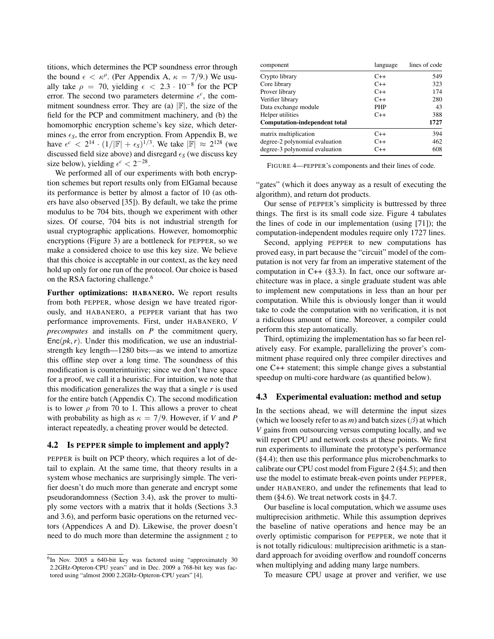titions, which determines the PCP soundness error through the bound  $\epsilon < \kappa^{\rho}$ . (Per Appendix [A,](#page-15-1)  $\kappa = 7/9$ .) We usually take  $\rho = 70$ , yielding  $\epsilon < 2.3 \cdot 10^{-8}$  for the PCP error. The second two parameters determine  $\epsilon^c$ , the commitment soundness error. They are (a)  $|\mathbb{F}|$ , the size of the field for the PCP and commitment machinery, and (b) the homomorphic encryption scheme's key size, which determines  $\epsilon_S$ , the error from encryption. From Appendix [B,](#page-15-2) we have  $\epsilon^c$  < 2<sup>14</sup> ·  $(1/|\mathbb{F}| + \epsilon_S)^{\frac{1}{3}}$ . We take  $|\mathbb{F}| \approx 2^{128}$  (we discussed field size above) and disregard  $\epsilon_S$  (we discuss key size below), yielding  $\epsilon^c < 2^{-28}$ .

We performed all of our experiments with both encryption schemes but report results only from ElGamal because its performance is better by almost a factor of 10 (as others have also observed [\[35\]](#page-14-27)). By default, we take the prime modulus to be 704 bits, though we experiment with other sizes. Of course, 704 bits is not industrial strength for usual cryptographic applications. However, homomorphic encryptions (Figure [3\)](#page-6-1) are a bottleneck for PEPPER, so we make a considered choice to use this key size. We believe that this choice is acceptable in our context, as the key need hold up only for one run of the protocol. Our choice is based on the RSA factoring challenge.<sup>6</sup>

Further optimizations: HABANERO. We report results from both PEPPER, whose design we have treated rigorously, and HABANERO, a PEPPER variant that has two performance improvements. First, under HABANERO, *V precomputes* and installs on *P* the commitment query,  $Enc(pk, r)$ . Under this modification, we use an industrialstrength key length—1280 bits—as we intend to amortize this offline step over a long time. The soundness of this modification is counterintuitive; since we don't have space for a proof, we call it a heuristic. For intuition, we note that this modification generalizes the way that a single *r* is used for the entire batch (Appendix [C\)](#page-17-0). The second modification is to lower  $\rho$  from 70 to 1. This allows a prover to cheat with probability as high as  $\kappa = 7/9$ . However, if *V* and *P* interact repeatedly, a cheating prover would be detected.

### <span id="page-9-0"></span>4.2 Is PEPPER simple to implement and apply?

PEPPER is built on PCP theory, which requires a lot of detail to explain. At the same time, that theory results in a system whose mechanics are surprisingly simple. The verifier doesn't do much more than generate and encrypt some pseudorandomness (Section [3.4\)](#page-6-0), ask the prover to multiply some vectors with a matrix that it holds (Sections [3.3](#page-4-0) and [3.6\)](#page-7-0), and perform basic operations on the returned vectors (Appendices [A](#page-15-1) and [D\)](#page-18-0). Likewise, the prover doesn't need to do much more than determine the assignment *z* to

| component                            | language   | lines of code |
|--------------------------------------|------------|---------------|
| Crypto library                       | $C++$      | 549           |
| Core library                         | $C++$      | 323           |
| Prover library                       | $C++$      | 174           |
| Verifier library                     | $C++$      | 280           |
| Data exchange module                 | <b>PHP</b> | 43            |
| Helper utilities                     | $C_{++}$   | 388           |
| <b>Computation-independent total</b> |            | 1727          |
| matrix multiplication                | $C++$      | 394           |
| degree-2 polynomial evaluation       | $C++$      | 462           |
| degree-3 polynomial evaluation       | $C++$      | 608           |

<span id="page-9-2"></span>FIGURE 4—PEPPER's components and their lines of code.

"gates" (which it does anyway as a result of executing the algorithm), and return dot products.

Our sense of PEPPER's simplicity is buttressed by three things. The first is its small code size. Figure [4](#page-9-2) tabulates the lines of code in our implementation (using [\[71\]](#page-15-5)); the computation-independent modules require only 1727 lines.

Second, applying PEPPER to new computations has proved easy, in part because the "circuit" model of the computation is not very far from an imperative statement of the computation in  $C++$  ([§3.3\)](#page-4-0). In fact, once our software architecture was in place, a single graduate student was able to implement new computations in less than an hour per computation. While this is obviously longer than it would take to code the computation with no verification, it is not a ridiculous amount of time. Moreover, a compiler could perform this step automatically.

Third, optimizing the implementation has so far been relatively easy. For example, parallelizing the prover's commitment phase required only three compiler directives and one C++ statement; this simple change gives a substantial speedup on multi-core hardware (as quantified below).

#### <span id="page-9-1"></span>4.3 Experimental evaluation: method and setup

In the sections ahead, we will determine the input sizes (which we loosely refer to as  $m$ ) and batch sizes ( $\beta$ ) at which *V* gains from outsourcing versus computing locally, and we will report CPU and network costs at these points. We first run experiments to illuminate the prototype's performance ([§4.4\)](#page-10-0); then use this performance plus microbenchmarks to calibrate our CPU cost model from Figure [2](#page-5-0) ([§4.5\)](#page-11-0); and then use the model to estimate break-even points under PEPPER, under HABANERO, and under the refinements that lead to them ([§4.6\)](#page-12-1). We treat network costs in [§4.7.](#page-12-2)

Our baseline is local computation, which we assume uses multiprecision arithmetic. While this assumption deprives the baseline of native operations and hence may be an overly optimistic comparison for PEPPER, we note that it is not totally ridiculous: multiprecision arithmetic is a standard approach for avoiding overflow and roundoff concerns when multiplying and adding many large numbers.

To measure CPU usage at prover and verifier, we use

<sup>6</sup> In Nov. 2005 a 640-bit key was factored using "approximately 30 2.2GHz-Opteron-CPU years" and in Dec. 2009 a 768-bit key was factored using "almost 2000 2.2GHz-Opteron-CPU years" [\[4\]](#page-13-5).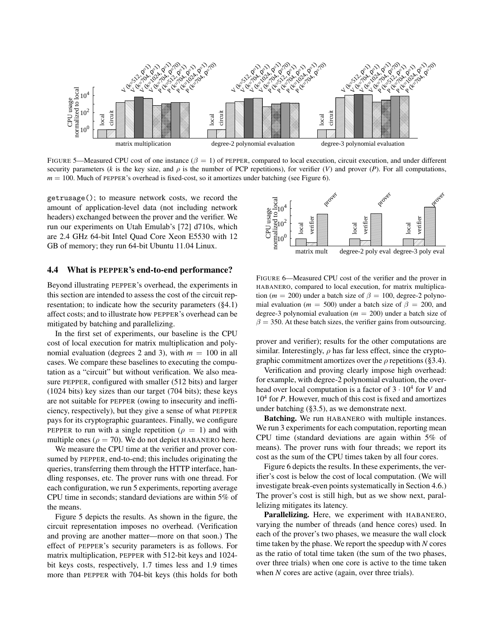

FIGURE 5—Measured CPU cost of one instance  $(\beta = 1)$  of PEPPER, compared to local execution, circuit execution, and under different security parameters (*k* is the key size, and  $\rho$  is the number of PCP repetitions), for verifier (*V*) and prover (*P*). For all computations, *m* = 100. Much of PEPPER's overhead is fixed-cost, so it amortizes under batching (see Figure [6\)](#page-10-1).

getrusage(); to measure network costs, we record the amount of application-level data (not including network headers) exchanged between the prover and the verifier. We run our experiments on Utah Emulab's [\[72\]](#page-15-6) d710s, which are 2.4 GHz 64-bit Intel Quad Core Xeon E5530 with 12 GB of memory; they run 64-bit Ubuntu 11.04 Linux.

# <span id="page-10-0"></span>4.4 What is PEPPER's end-to-end performance?

Beyond illustrating PEPPER's overhead, the experiments in this section are intended to assess the cost of the circuit representation; to indicate how the security parameters ([§4.1\)](#page-8-1) affect costs; and to illustrate how PEPPER's overhead can be mitigated by batching and parallelizing.

In the first set of experiments, our baseline is the CPU cost of local execution for matrix multiplication and polynomial evaluation (degrees 2 and 3), with  $m = 100$  in all cases. We compare these baselines to executing the computation as a "circuit" but without verification. We also measure PEPPER, configured with smaller (512 bits) and larger (1024 bits) key sizes than our target (704 bits); these keys are not suitable for PEPPER (owing to insecurity and inefficiency, respectively), but they give a sense of what PEPPER pays for its cryptographic guarantees. Finally, we configure PEPPER to run with a single repetition ( $\rho = 1$ ) and with multiple ones ( $\rho = 70$ ). We do not depict HABANERO here.

We measure the CPU time at the verifier and prover consumed by PEPPER, end-to-end; this includes originating the queries, transferring them through the HTTP interface, handling responses, etc. The prover runs with one thread. For each configuration, we run 5 experiments, reporting average CPU time in seconds; standard deviations are within 5% of the means.

Figure [5](#page-10-2) depicts the results. As shown in the figure, the circuit representation imposes no overhead. (Verification and proving are another matter—more on that soon.) The effect of PEPPER's security parameters is as follows. For matrix multiplication, PEPPER with 512-bit keys and 1024 bit keys costs, respectively, 1.7 times less and 1.9 times more than PEPPER with 704-bit keys (this holds for both

<span id="page-10-2"></span>

<span id="page-10-1"></span>FIGURE 6—Measured CPU cost of the verifier and the prover in HABANERO, compared to local execution, for matrix multiplication ( $m = 200$ ) under a batch size of  $\beta = 100$ , degree-2 polynomial evaluation ( $m = 500$ ) under a batch size of  $\beta = 200$ , and degree-3 polynomial evaluation (*m* = 200) under a batch size of  $\beta = 350$ . At these batch sizes, the verifier gains from outsourcing.

prover and verifier); results for the other computations are similar. Interestingly,  $\rho$  has far less effect, since the cryptographic commitment amortizes over the  $\rho$  repetitions ([§3.4\)](#page-6-0).

Verification and proving clearly impose high overhead: for example, with degree-2 polynomial evaluation, the overhead over local computation is a factor of  $3 \cdot 10^4$  for *V* and 10<sup>4</sup> for *P*. However, much of this cost is fixed and amortizes under batching ([§3.5\)](#page-7-1), as we demonstrate next.

Batching. We run HABANERO with multiple instances. We run 3 experiments for each computation, reporting mean CPU time (standard deviations are again within 5% of means). The prover runs with four threads; we report its cost as the sum of the CPU times taken by all four cores.

Figure [6](#page-10-1) depicts the results. In these experiments, the verifier's cost is below the cost of local computation. (We will investigate break-even points systematically in Section [4.6.](#page-12-1)) The prover's cost is still high, but as we show next, parallelizing mitigates its latency.

Parallelizing. Here, we experiment with HABANERO, varying the number of threads (and hence cores) used. In each of the prover's two phases, we measure the wall clock time taken by the phase. We report the speedup with *N* cores as the ratio of total time taken (the sum of the two phases, over three trials) when one core is active to the time taken when *N* cores are active (again, over three trials).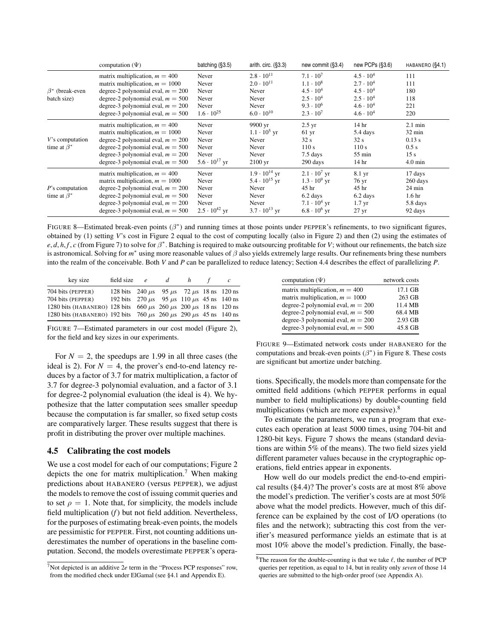|                                         | computation $(\Psi)$                                                                                                                                                                                                              | batching (§3.5)                                                     | arith. circ. $(\S3.3)$                                                                                | new commit (§3.4)                                                                                                              | new PCPs (§3.6)                                                                                                                  | HABANERO (§4.1)                                                                                  |
|-----------------------------------------|-----------------------------------------------------------------------------------------------------------------------------------------------------------------------------------------------------------------------------------|---------------------------------------------------------------------|-------------------------------------------------------------------------------------------------------|--------------------------------------------------------------------------------------------------------------------------------|----------------------------------------------------------------------------------------------------------------------------------|--------------------------------------------------------------------------------------------------|
| $\beta^*$ (break-even<br>batch size)    | matrix multiplication, $m = 400$<br>matrix multiplication, $m = 1000$<br>degree-2 polynomial eval, $m = 200$<br>degree-2 polynomial eval, $m = 500$<br>degree-3 polynomial eval, $m = 200$<br>degree-3 polynomial eval, $m = 500$ | Never<br>Never<br>Never<br>Never<br>Never<br>$1.6 \cdot 10^{25}$    | $2.8 \cdot 10^{11}$<br>$2.0 \cdot 10^{11}$<br>Never<br>Never<br>Never<br>$6.0 \cdot 10^{10}$          | $7.1 \cdot 10^{7}$<br>$1.1 \cdot 10^8$<br>$4.5 \cdot 10^{4}$<br>$2.5 \cdot 10^{4}$<br>$9.3 \cdot 10^{6}$<br>$2.3 \cdot 10^{7}$ | $4.5 \cdot 10^{4}$<br>$2.7 \cdot 10^{4}$<br>$4.5 \cdot 10^{4}$<br>$2.5 \cdot 10^{4}$<br>$4.6 \cdot 10^{4}$<br>$4.6 \cdot 10^{4}$ | 111<br>111<br>180<br>118<br>221<br>220                                                           |
| V's computation<br>time at $\beta^*$    | matrix multiplication, $m = 400$<br>matrix multiplication, $m = 1000$<br>degree-2 polynomial eval, $m = 200$<br>degree-2 polynomial eval, $m = 500$<br>degree-3 polynomial eval, $m = 200$<br>degree-3 polynomial eval, $m = 500$ | Never<br>Never<br>Never<br>Never<br>Never<br>$5.6 \cdot 10^{17}$ yr | 9900 yr<br>$1.1 \cdot 10^5$ yr<br>Never<br>Never<br>Never<br>$2100 \text{ yr}$                        | $2.5 \text{ yr}$<br>$61 \text{ yr}$<br>32 s<br>110s<br>$7.5$ days<br>290 days                                                  | 14 <sub>hr</sub><br>5.4 days<br>32 s<br>110s<br>$55 \text{ min}$<br>14 hr                                                        | $2.1 \text{ min}$<br>$32 \text{ min}$<br>0.13 s<br>0.5 s<br>15 <sub>s</sub><br>$4.0 \text{ min}$ |
| $P$ 's computation<br>time at $\beta^*$ | matrix multiplication, $m = 400$<br>matrix multiplication, $m = 1000$<br>degree-2 polynomial eval, $m = 200$<br>degree-2 polynomial eval, $m = 500$<br>degree-3 polynomial eval, $m = 200$<br>degree-3 polynomial eval, $m = 500$ | Never<br>Never<br>Never<br>Never<br>Never<br>$2.5 \cdot 10^{42}$ yr | $1.9 \cdot 10^{14}$ yr<br>$5.4 \cdot 10^{15}$ yr<br>Never<br>Never<br>Never<br>$3.7 \cdot 10^{13}$ yr | $2.1 \cdot 10^7$ yr<br>$1.3 \cdot 10^9$ yr<br>45 hr<br>6.2 days<br>$7.1 \cdot 10^4$ yr<br>$6.8 \cdot 10^6$ yr                  | 8.1 yr<br>76 yr<br>45 hr<br>6.2 days<br>$1.7 \text{ yr}$<br>$27 \text{ yr}$                                                      | 17 days<br>260 days<br>$24 \text{ min}$<br>1.6 <sub>hr</sub><br>5.8 days<br>92 days              |

<span id="page-11-2"></span>FIGURE 8—Estimated break-even points  $(\beta^*)$  and running times at those points under PEPPER's refinements, to two significant figures, obtained by (1) setting *V*'s cost in Figure [2](#page-5-0) equal to the cost of computing locally (also in Figure [2\)](#page-5-0) and then (2) using the estimates of  $e, d, h, f, c$  (from Figure [7\)](#page-11-1) to solve for  $\beta^*$ . Batching is required to make outsourcing profitable for *V*; without our refinements, the batch size is astronomical. Solving for  $m^*$  using more reasonable values of  $\beta$  also yields extremely large results. Our refinements bring these numbers into the realm of the conceivable. Both *V* and *P* can be parallelized to reduce latency; Section [4.4](#page-10-0) describes the effect of parallelizing *P*.

| key size                                                                       | field size $e$ d                                         |  | h |  |
|--------------------------------------------------------------------------------|----------------------------------------------------------|--|---|--|
| 704 bits (PEPPER)                                                              | 128 bits 240 $\mu$ s 95 $\mu$ s 72 $\mu$ s 18 ns 120 ns  |  |   |  |
| 704 bits (PEPPER)                                                              | 192 bits 270 $\mu$ s 95 $\mu$ s 110 $\mu$ s 45 ns 140 ns |  |   |  |
| 1280 bits (HABANERO) 128 bits 660 $\mu$ s 260 $\mu$ s 200 $\mu$ s 18 ns 120 ns |                                                          |  |   |  |
| 1280 bits (HABANERO) 192 bits 760 $\mu$ s 260 $\mu$ s 290 $\mu$ s 45 ns 140 ns |                                                          |  |   |  |

<span id="page-11-1"></span>FIGURE 7—Estimated parameters in our cost model (Figure [2\)](#page-5-0), for the field and key sizes in our experiments.

For  $N = 2$ , the speedups are 1.99 in all three cases (the ideal is 2). For  $N = 4$ , the prover's end-to-end latency reduces by a factor of 3.7 for matrix multiplication, a factor of 3.7 for degree-3 polynomial evaluation, and a factor of 3.1 for degree-2 polynomial evaluation (the ideal is 4). We hypothesize that the latter computation sees smaller speedup because the computation is far smaller, so fixed setup costs are comparatively larger. These results suggest that there is profit in distributing the prover over multiple machines.

#### <span id="page-11-0"></span>4.5 Calibrating the cost models

We use a cost model for each of our computations; Figure [2](#page-5-0) depicts the one for matrix multiplication.<sup>7</sup> When making predictions about HABANERO (versus PEPPER), we adjust the models to remove the cost of issuing commit queries and to set  $\rho = 1$ . Note that, for simplicity, the models include field multiplication (*f*) but not field addition. Nevertheless, for the purposes of estimating break-even points, the models are pessimistic for PEPPER. First, not counting additions underestimates the number of operations in the baseline computation. Second, the models overestimate PEPPER's opera-

<span id="page-11-3"></span>

| computation $(\Psi)$                | network costs |
|-------------------------------------|---------------|
| matrix multiplication, $m = 400$    | 17.1 GB       |
| matrix multiplication, $m = 1000$   | 263 GB        |
| degree-2 polynomial eval, $m = 200$ | 11.4 MB       |
| degree-2 polynomial eval, $m = 500$ | 68.4 MB       |
| degree-3 polynomial eval, $m = 200$ | 2.93 GB       |
| degree-3 polynomial eval, $m = 500$ | 45.8 GB       |
|                                     |               |

FIGURE 9—Estimated network costs under HABANERO for the computations and break-even points  $(\beta^*)$  in Figure [8.](#page-11-2) These costs are significant but amortize under batching.

tions. Specifically, the models more than compensate for the omitted field additions (which PEPPER performs in equal number to field multiplications) by double-counting field multiplications (which are more expensive).<sup>8</sup>

To estimate the parameters, we run a program that executes each operation at least 5000 times, using 704-bit and 1280-bit keys. Figure [7](#page-11-1) shows the means (standard deviations are within 5% of the means). The two field sizes yield different parameter values because in the cryptographic operations, field entries appear in exponents.

How well do our models predict the end-to-end empirical results ([§4.4\)](#page-10-0)? The prover's costs are at most 8% above the model's prediction. The verifier's costs are at most 50% above what the model predicts. However, much of this difference can be explained by the cost of I/O operations (to files and the network); subtracting this cost from the verifier's measured performance yields an estimate that is at most 10% above the model's prediction. Finally, the base-

<sup>&</sup>lt;sup>7</sup>Not depicted is an additive  $2e$  term in the "Process PCP responses" row, from the modified check under ElGamal (see [§4.1](#page-8-1) and Appendix [E\)](#page-19-0).

 $8$ The reason for the double-counting is that we take  $\ell$ , the number of PCP queries per repetition, as equal to 14, but in reality only *seven* of those 14 queries are submitted to the high-order proof (see Appendix [A\)](#page-15-1).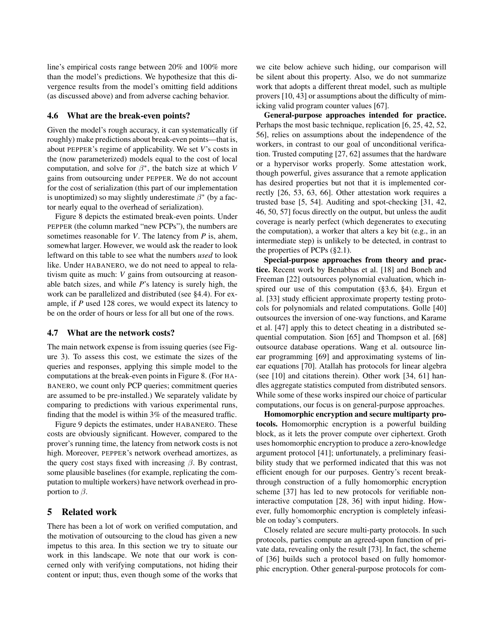line's empirical costs range between 20% and 100% more than the model's predictions. We hypothesize that this divergence results from the model's omitting field additions (as discussed above) and from adverse caching behavior.

# <span id="page-12-1"></span>4.6 What are the break-even points?

Given the model's rough accuracy, it can systematically (if roughly) make predictions about break-even points—that is, about PEPPER's regime of applicability. We set *V*'s costs in the (now parameterized) models equal to the cost of local computation, and solve for  $\beta^*$ , the batch size at which *V* gains from outsourcing under PEPPER. We do not account for the cost of serialization (this part of our implementation is unoptimized) so may slightly underestimate  $\beta^*$  (by a factor nearly equal to the overhead of serialization).

Figure [8](#page-11-2) depicts the estimated break-even points. Under PEPPER (the column marked "new PCPs"), the numbers are sometimes reasonable for *V*. The latency from *P* is, ahem, somewhat larger. However, we would ask the reader to look leftward on this table to see what the numbers *used* to look like. Under HABANERO, we do not need to appeal to relativism quite as much: *V* gains from outsourcing at reasonable batch sizes, and while *P*'s latency is surely high, the work can be parallelized and distributed (see [§4.4\)](#page-10-0). For example, if *P* used 128 cores, we would expect its latency to be on the order of hours or less for all but one of the rows.

# <span id="page-12-2"></span>4.7 What are the network costs?

The main network expense is from issuing queries (see Figure [3\)](#page-6-1). To assess this cost, we estimate the sizes of the queries and responses, applying this simple model to the computations at the break-even points in Figure [8.](#page-11-2) (For HA-BANERO, we count only PCP queries; commitment queries are assumed to be pre-installed.) We separately validate by comparing to predictions with various experimental runs, finding that the model is within 3% of the measured traffic.

Figure [9](#page-11-3) depicts the estimates, under HABANERO. These costs are obviously significant. However, compared to the prover's running time, the latency from network costs is not high. Moreover, PEPPER's network overhead amortizes, as the query cost stays fixed with increasing  $\beta$ . By contrast, some plausible baselines (for example, replicating the computation to multiple workers) have network overhead in proportion to  $\beta$ .

# <span id="page-12-0"></span>5 Related work

There has been a lot of work on verified computation, and the motivation of outsourcing to the cloud has given a new impetus to this area. In this section we try to situate our work in this landscape. We note that our work is concerned only with verifying computations, not hiding their content or input; thus, even though some of the works that

we cite below achieve such hiding, our comparison will be silent about this property. Also, we do not summarize work that adopts a different threat model, such as multiple provers [\[10,](#page-14-28) [43\]](#page-14-29) or assumptions about the difficulty of mimicking valid program counter values [\[67\]](#page-15-7).

General-purpose approaches intended for practice. Perhaps the most basic technique, replication [\[6,](#page-13-1) [25,](#page-14-3) [42,](#page-14-4) [52,](#page-14-5) [56\]](#page-14-6), relies on assumptions about the independence of the workers, in contrast to our goal of unconditional verification. Trusted computing [\[27,](#page-14-1) [62\]](#page-14-2) assumes that the hardware or a hypervisor works properly. Some attestation work, though powerful, gives assurance that a remote application has desired properties but not that it is implemented correctly [\[26,](#page-14-30) [53,](#page-14-31) [63,](#page-14-32) [66\]](#page-15-8). Other attestation work requires a trusted base [\[5,](#page-13-6) [54\]](#page-14-33). Auditing and spot-checking [\[31,](#page-14-34) [42,](#page-14-4) [46,](#page-14-35) [50,](#page-14-36) [57\]](#page-14-37) focus directly on the output, but unless the audit coverage is nearly perfect (which degenerates to executing the computation), a worker that alters a key bit (e.g., in an intermediate step) is unlikely to be detected, in contrast to the properties of PCPs ([§2.1\)](#page-1-1).

Special-purpose approaches from theory and practice. Recent work by Benabbas et al. [\[18\]](#page-14-38) and Boneh and Freeman [\[22\]](#page-14-24) outsources polynomial evaluation, which inspired our use of this computation ([§3.6,](#page-7-0) [§4\)](#page-8-0). Ergun et al. [\[33\]](#page-14-39) study efficient approximate property testing protocols for polynomials and related computations. Golle [\[40\]](#page-14-40) outsources the inversion of one-way functions, and Karame et al. [\[47\]](#page-14-41) apply this to detect cheating in a distributed sequential computation. Sion [\[65\]](#page-15-9) and Thompson et al. [\[68\]](#page-15-10) outsource database operations. Wang et al. outsource linear programming [\[69\]](#page-15-11) and approximating systems of linear equations [\[70\]](#page-15-3). Atallah has protocols for linear algebra (see [\[10\]](#page-14-28) and citations therein). Other work [\[34,](#page-14-42) [61\]](#page-14-43) handles aggregate statistics computed from distributed sensors. While some of these works inspired our choice of particular computations, our focus is on general-purpose approaches.

Homomorphic encryption and secure multiparty protocols. Homomorphic encryption is a powerful building block, as it lets the prover compute over ciphertext. Groth uses homomorphic encryption to produce a zero-knowledge argument protocol [\[41\]](#page-14-44); unfortunately, a preliminary feasibility study that we performed indicated that this was not efficient enough for our purposes. Gentry's recent breakthrough construction of a fully homomorphic encryption scheme [\[37\]](#page-14-20) has led to new protocols for verifiable noninteractive computation [\[28,](#page-14-45) [36\]](#page-14-0) with input hiding. However, fully homomorphic encryption is completely infeasible on today's computers.

Closely related are secure multi-party protocols. In such protocols, parties compute an agreed-upon function of private data, revealing only the result [\[73\]](#page-15-12). In fact, the scheme of [\[36\]](#page-14-0) builds such a protocol based on fully homomorphic encryption. Other general-purpose protocols for com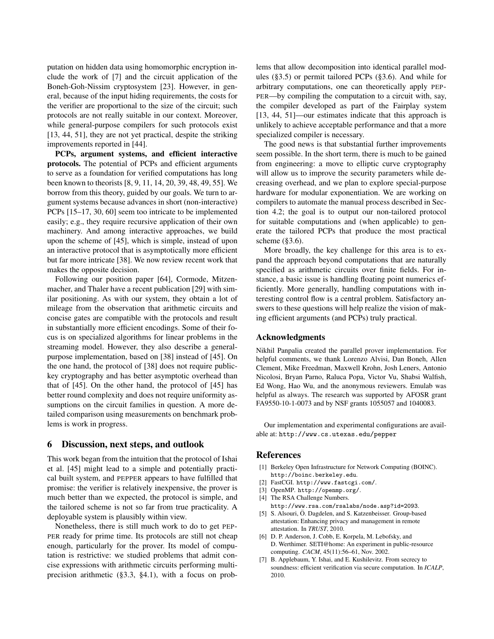putation on hidden data using homomorphic encryption include the work of [\[7\]](#page-13-7) and the circuit application of the Boneh-Goh-Nissim cryptosystem [\[23\]](#page-14-46). However, in general, because of the input hiding requirements, the costs for the verifier are proportional to the size of the circuit; such protocols are not really suitable in our context. Moreover, while general-purpose compilers for such protocols exist [\[13,](#page-14-47) [44,](#page-14-48) [51\]](#page-14-49), they are not yet practical, despite the striking improvements reported in [\[44\]](#page-14-48).

PCPs, argument systems, and efficient interactive protocols. The potential of PCPs and efficient arguments to serve as a foundation for verified computations has long been known to theorists [\[8,](#page-14-12) [9,](#page-14-13) [11,](#page-14-50) [14,](#page-14-22) [20,](#page-14-51) [39,](#page-14-8) [48,](#page-14-9) [49,](#page-14-10) [55\]](#page-14-52). We borrow from this theory, guided by our goals. We turn to argument systems because advances in short (non-interactive) PCPs [\[15–](#page-14-14)[17,](#page-14-15) [30,](#page-14-16) [60\]](#page-14-53) seem too intricate to be implemented easily; e.g., they require recursive application of their own machinery. And among interactive approaches, we build upon the scheme of [\[45\]](#page-14-11), which is simple, instead of upon an interactive protocol that is asymptotically more efficient but far more intricate [\[38\]](#page-14-54). We now review recent work that makes the opposite decision.

Following our position paper [\[64\]](#page-15-0), Cormode, Mitzenmacher, and Thaler have a recent publication [\[29\]](#page-14-55) with similar positioning. As with our system, they obtain a lot of mileage from the observation that arithmetic circuits and concise gates are compatible with the protocols and result in substantially more efficient encodings. Some of their focus is on specialized algorithms for linear problems in the streaming model. However, they also describe a generalpurpose implementation, based on [\[38\]](#page-14-54) instead of [\[45\]](#page-14-11). On the one hand, the protocol of [\[38\]](#page-14-54) does not require publickey cryptography and has better asymptotic overhead than that of [\[45\]](#page-14-11). On the other hand, the protocol of [\[45\]](#page-14-11) has better round complexity and does not require uniformity assumptions on the circuit families in question. A more detailed comparison using measurements on benchmark problems is work in progress.

### <span id="page-13-2"></span>6 Discussion, next steps, and outlook

This work began from the intuition that the protocol of Ishai et al. [\[45\]](#page-14-11) might lead to a simple and potentially practical built system, and PEPPER appears to have fulfilled that promise: the verifier is relatively inexpensive, the prover is much better than we expected, the protocol is simple, and the tailored scheme is not so far from true practicality. A deployable system is plausibly within view.

Nonetheless, there is still much work to do to get PEP-PER ready for prime time. Its protocols are still not cheap enough, particularly for the prover. Its model of computation is restrictive: we studied problems that admit concise expressions with arithmetic circuits performing multiprecision arithmetic ([§3.3,](#page-4-0) [§4.1\)](#page-8-1), with a focus on problems that allow decomposition into identical parallel modules ([§3.5\)](#page-7-1) or permit tailored PCPs ([§3.6\)](#page-7-0). And while for arbitrary computations, one can theoretically apply PEP-PER—by compiling the computation to a circuit with, say, the compiler developed as part of the Fairplay system [\[13,](#page-14-47) [44,](#page-14-48) [51\]](#page-14-49)—our estimates indicate that this approach is unlikely to achieve acceptable performance and that a more specialized compiler is necessary.

The good news is that substantial further improvements seem possible. In the short term, there is much to be gained from engineering: a move to elliptic curve cryptography will allow us to improve the security parameters while decreasing overhead, and we plan to explore special-purpose hardware for modular exponentiation. We are working on compilers to automate the manual process described in Section [4.2;](#page-9-0) the goal is to output our non-tailored protocol for suitable computations and (when applicable) to generate the tailored PCPs that produce the most practical scheme ([§3.6\)](#page-7-0).

More broadly, the key challenge for this area is to expand the approach beyond computations that are naturally specified as arithmetic circuits over finite fields. For instance, a basic issue is handling floating point numerics efficiently. More generally, handling computations with interesting control flow is a central problem. Satisfactory answers to these questions will help realize the vision of making efficient arguments (and PCPs) truly practical.

# Acknowledgments

Nikhil Panpalia created the parallel prover implementation. For helpful comments, we thank Lorenzo Alvisi, Dan Boneh, Allen Clement, Mike Freedman, Maxwell Krohn, Josh Leners, Antonio Nicolosi, Bryan Parno, Raluca Popa, Victor Vu, Shabsi Walfish, Ed Wong, Hao Wu, and the anonymous reviewers. Emulab was helpful as always. The research was supported by AFOSR grant FA9550-10-1-0073 and by NSF grants 1055057 and 1040083.

Our implementation and experimental configurations are available at: http://www.cs.utexas.edu/pepper

# References

- <span id="page-13-0"></span>[1] Berkeley Open Infrastructure for Network Computing (BOINC). <http://boinc.berkeley.edu>.
- <span id="page-13-3"></span>[2] FastCGI. <http://www.fastcgi.com/>.
- <span id="page-13-4"></span>[3] OpenMP. <http://openmp.org/>.
- <span id="page-13-5"></span>[4] The RSA Challenge Numbers. <http://www.rsa.com/rsalabs/node.asp?id=2093>. [5] S. Alsouri, Ö. Dagdelen, and S. Katzenbeisser. Group-based
- <span id="page-13-6"></span>attestation: Enhancing privacy and management in remote attestation. In *TRUST*, 2010.
- <span id="page-13-1"></span>[6] D. P. Anderson, J. Cobb, E. Korpela, M. Lebofsky, and D. Werthimer. SETI@home: An experiment in public-resource computing. *CACM*, 45(11):56–61, Nov. 2002.
- <span id="page-13-7"></span>B. Applebaum, Y. Ishai, and E. Kushilevitz. From secrecy to soundness: efficient verification via secure computation. In *ICALP*, 2010.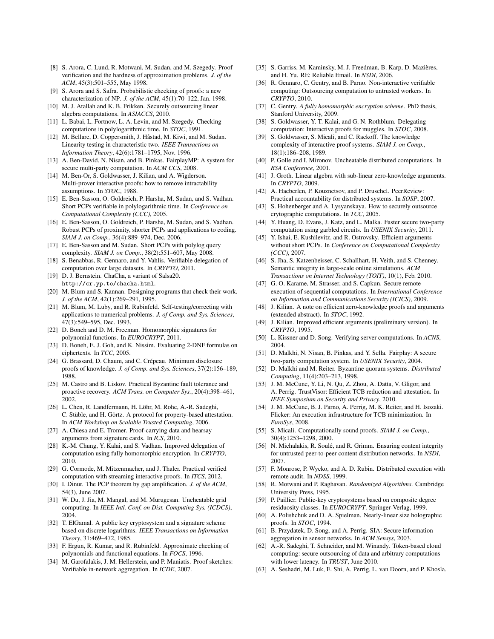- <span id="page-14-12"></span>[8] S. Arora, C. Lund, R. Motwani, M. Sudan, and M. Szegedy. Proof verification and the hardness of approximation problems. *J. of the ACM*, 45(3):501–555, May 1998.
- <span id="page-14-13"></span>[9] S. Arora and S. Safra. Probabilistic checking of proofs: a new characterization of NP. *J. of the ACM*, 45(1):70–122, Jan. 1998.
- <span id="page-14-28"></span>[10] M. J. Atallah and K. B. Frikken. Securely outsourcing linear algebra computations. In *ASIACCS*, 2010.
- <span id="page-14-50"></span>[11] L. Babai, L. Fortnow, L. A. Levin, and M. Szegedy. Checking computations in polylogarithmic time. In *STOC*, 1991.
- <span id="page-14-18"></span>[12] M. Bellare, D. Coppersmith, J. Håstad, M. Kiwi, and M. Sudan. Linearity testing in characteristic two. *IEEE Transactions on Information Theory*, 42(6):1781–1795, Nov. 1996.
- <span id="page-14-47"></span>[13] A. Ben-David, N. Nisan, and B. Pinkas. FairplayMP: A system for secure multi-party computation. In *ACM CCS*, 2008.
- <span id="page-14-22"></span>[14] M. Ben-Or, S. Goldwasser, J. Kilian, and A. Wigderson. Multi-prover interactive proofs: how to remove intractability assumptions. In *STOC*, 1988.
- <span id="page-14-14"></span>[15] E. Ben-Sasson, O. Goldreich, P. Harsha, M. Sudan, and S. Vadhan. Short PCPs verifiable in polylogarithmic time. In *Conference on Computational Complexity (CCC)*, 2005.
- <span id="page-14-17"></span>[16] E. Ben-Sasson, O. Goldreich, P. Harsha, M. Sudan, and S. Vadhan. Robust PCPs of proximity, shorter PCPs and applications to coding. *SIAM J. on Comp.*, 36(4):889–974, Dec. 2006.
- <span id="page-14-15"></span>[17] E. Ben-Sasson and M. Sudan. Short PCPs with polylog query complexity. *SIAM J. on Comp.*, 38(2):551–607, May 2008.
- <span id="page-14-38"></span>[18] S. Benabbas, R. Gennaro, and Y. Vahlis. Verifiable delegation of computation over large datasets. In *CRYPTO*, 2011.
- <span id="page-14-26"></span>[19] D. J. Bernstein. ChaCha, a variant of Salsa20. <http://cr.yp.to/chacha.html>.
- <span id="page-14-51"></span>[20] M. Blum and S. Kannan. Designing programs that check their work. *J. of the ACM*, 42(1):269–291, 1995.
- <span id="page-14-19"></span>[21] M. Blum, M. Luby, and R. Rubinfeld. Self-testing/correcting with applications to numerical problems. *J. of Comp. and Sys. Sciences*, 47(3):549–595, Dec. 1993.
- <span id="page-14-24"></span>[22] D. Boneh and D. M. Freeman. Homomorphic signatures for polynomial functions. In *EUROCRYPT*, 2011.
- <span id="page-14-46"></span>[23] D. Boneh, E. J. Goh, and K. Nissim. Evaluating 2-DNF formulas on ciphertexts. In *TCC*, 2005.
- <span id="page-14-7"></span>[24] G. Brassard, D. Chaum, and C. Crépeau. Minimum disclosure proofs of knowledge. *J. of Comp. and Sys. Sciences*, 37(2):156–189, 1988.
- <span id="page-14-3"></span>[25] M. Castro and B. Liskov. Practical Byzantine fault tolerance and proactive recovery. *ACM Trans. on Computer Sys.*, 20(4):398–461, 2002.
- <span id="page-14-30"></span>[26] L. Chen, R. Landfermann, H. Löhr, M. Rohe, A.-R. Sadeghi, C. Stüble, and H. Görtz. A protocol for property-based attestation. In *ACM Workshop on Scalable Trusted Computing*, 2006.
- <span id="page-14-1"></span>[27] A. Chiesa and E. Tromer. Proof-carrying data and hearsay arguments from signature cards. In *ICS*, 2010.
- <span id="page-14-45"></span>[28] K.-M. Chung, Y. Kalai, and S. Vadhan. Improved delegation of computation using fully homomorphic encryption. In *CRYPTO*, 2010.
- <span id="page-14-55"></span>[29] G. Cormode, M. Mitzenmacher, and J. Thaler. Practical verified computation with streaming interactive proofs. In *ITCS*, 2012.
- <span id="page-14-16"></span>[30] I. Dinur. The PCP theorem by gap amplification. *J. of the ACM*, 54(3), June 2007.
- <span id="page-14-34"></span>[31] W. Du, J. Jia, M. Mangal, and M. Murugesan. Uncheatable grid computing. In *IEEE Intl. Conf. on Dist. Computing Sys. (ICDCS)*, 2004.
- <span id="page-14-21"></span>[32] T. ElGamal. A public key cryptosystem and a signature scheme based on discrete logarithms. *IEEE Transactions on Information Theory*, 31:469–472, 1985.
- <span id="page-14-39"></span>[33] F. Ergun, R. Kumar, and R. Rubinfeld. Approximate checking of polynomials and functional equations. In *FOCS*, 1996.
- <span id="page-14-42"></span>[34] M. Garofalakis, J. M. Hellerstein, and P. Maniatis. Proof sketches: Verifiable in-network aggregation. In *ICDE*, 2007.
- <span id="page-14-27"></span>[35] S. Garriss, M. Kaminsky, M. J. Freedman, B. Karp, D. Mazières, and H. Yu. RE: Reliable Email. In *NSDI*, 2006.
- <span id="page-14-0"></span>[36] R. Gennaro, C. Gentry, and B. Parno. Non-interactive verifiable computing: Outsourcing computation to untrusted workers. In *CRYPTO*, 2010.
- <span id="page-14-20"></span>[37] C. Gentry. *A fully homomorphic encryption scheme*. PhD thesis, Stanford University, 2009.
- <span id="page-14-54"></span>[38] S. Goldwasser, Y. T. Kalai, and G. N. Rothblum. Delegating computation: Interactive proofs for muggles. In *STOC*, 2008.
- <span id="page-14-8"></span>[39] S. Goldwasser, S. Micali, and C. Rackoff. The knowledge complexity of interactive proof systems. *SIAM J. on Comp.*, 18(1):186–208, 1989.
- <span id="page-14-40"></span>[40] P. Golle and I. Mironov. Uncheatable distributed computations. In *RSA Conference*, 2001.
- <span id="page-14-44"></span>[41] J. Groth. Linear algebra with sub-linear zero-knowledge arguments. In *CRYPTO*, 2009.
- <span id="page-14-4"></span>[42] A. Haeberlen, P. Kouznetsov, and P. Druschel. PeerReview: Practical accountability for distributed systems. In *SOSP*, 2007.
- <span id="page-14-29"></span>[43] S. Hohenberger and A. Lysyanskaya. How to securely outsource crytographic computations. In *TCC*, 2005.
- <span id="page-14-48"></span>[44] Y. Huang, D. Evans, J. Katz, and L. Malka. Faster secure two-party computation using garbled circuits. In *USENIX Security*, 2011.
- <span id="page-14-11"></span>[45] Y. Ishai, E. Kushilevitz, and R. Ostrovsky. Efficient arguments without short PCPs. In *Conference on Computational Complexity (CCC)*, 2007.
- <span id="page-14-35"></span>[46] S. Jha, S. Katzenbeisser, C. Schallhart, H. Veith, and S. Chenney. Semantic integrity in large-scale online simulations. *ACM Transactions on Internet Technology (TOIT)*, 10(1), Feb. 2010.
- <span id="page-14-41"></span>[47] G. O. Karame, M. Strasser, and S. Capkun. Secure remote execution of sequential computations. In *International Conference on Information and Communications Security (ICICS)*, 2009.
- <span id="page-14-9"></span>[48] J. Kilian. A note on efficient zero-knowledge proofs and arguments (extended abstract). In *STOC*, 1992.
- <span id="page-14-10"></span>[49] J. Kilian. Improved efficient arguments (preliminary version). In *CRYPTO*, 1995.
- <span id="page-14-36"></span>[50] L. Kissner and D. Song. Verifying server computations. In *ACNS*, 2004.
- <span id="page-14-49"></span>[51] D. Malkhi, N. Nisan, B. Pinkas, and Y. Sella. Fairplay: A secure two-party computation system. In *USENIX Security*, 2004.
- <span id="page-14-5"></span>[52] D. Malkhi and M. Reiter. Byzantine quorum systems. *Distributed Computing*, 11(4):203–213, 1998.
- <span id="page-14-31"></span>[53] J. M. McCune, Y. Li, N. Qu, Z. Zhou, A. Datta, V. Gligor, and A. Perrig. TrustVisor: Efficient TCB reduction and attestation. In *IEEE Symposium on Security and Privacy*, 2010.
- <span id="page-14-33"></span>[54] J. M. McCune, B. J. Parno, A. Perrig, M. K. Reiter, and H. Isozaki. Flicker: An execution infrastructure for TCB minimization. In *EuroSys*, 2008.
- <span id="page-14-52"></span>[55] S. Micali. Computationally sound proofs. *SIAM J. on Comp.*, 30(4):1253–1298, 2000.
- <span id="page-14-6"></span>[56] N. Michalakis, R. Soulé, and R. Grimm. Ensuring content integrity for untrusted peer-to-peer content distribution networks. In *NSDI*, 2007.
- <span id="page-14-37"></span>[57] F. Monrose, P. Wycko, and A. D. Rubin. Distributed execution with remote audit. In *NDSS*, 1999.
- <span id="page-14-23"></span>[58] R. Motwani and P. Raghavan. *Randomized Algorithms*. Cambridge University Press, 1995.
- <span id="page-14-25"></span>[59] P. Paillier. Public-key cryptosystems based on composite degree residuosity classes. In *EUROCRYPT*. Springer-Verlag, 1999.
- <span id="page-14-53"></span>[60] A. Polishchuk and D. A. Spielman. Nearly-linear size holographic proofs. In *STOC*, 1994.
- <span id="page-14-43"></span>[61] B. Przydatek, D. Song, and A. Perrig. SIA: Secure information aggregation in sensor networks. In *ACM Sensys*, 2003.
- <span id="page-14-2"></span>[62] A.-R. Sadeghi, T. Schneider, and M. Winandy. Token-based cloud computing: secure outsourcing of data and arbitrary computations with lower latency. In *TRUST*, June 2010.
- <span id="page-14-32"></span>[63] A. Seshadri, M. Luk, E. Shi, A. Perrig, L. van Doorn, and P. Khosla.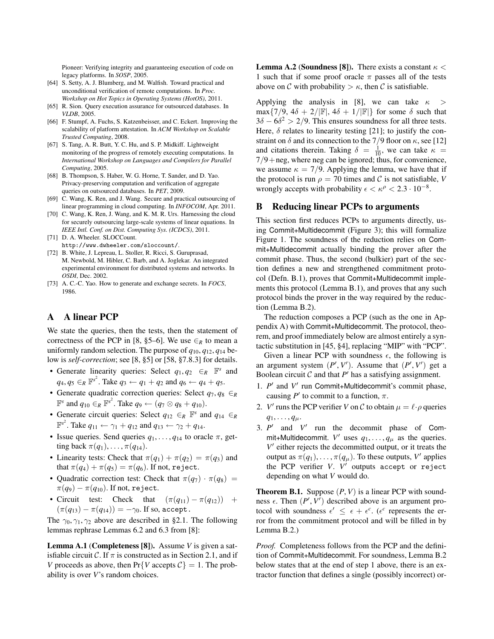Pioneer: Verifying integrity and guaranteeing execution of code on legacy platforms. In *SOSP*, 2005.

- <span id="page-15-0"></span>[64] S. Setty, A. J. Blumberg, and M. Walfish. Toward practical and unconditional verification of remote computations. In *Proc. Workshop on Hot Topics in Operating Systems (HotOS)*, 2011.
- <span id="page-15-9"></span>[65] R. Sion. Query execution assurance for outsourced databases. In *VLDB*, 2005.
- <span id="page-15-8"></span>[66] F. Stumpf, A. Fuchs, S. Katzenbeisser, and C. Eckert. Improving the scalability of platform attestation. In *ACM Workshop on Scalable Trusted Computing*, 2008.
- <span id="page-15-7"></span>[67] S. Tang, A. R. Butt, Y. C. Hu, and S. P. Midkiff. Lightweight monitoring of the progress of remotely executing computations. In *International Workshop on Languages and Compilers for Parallel Computing*, 2005.
- <span id="page-15-10"></span>[68] B. Thompson, S. Haber, W. G. Horne, T. Sander, and D. Yao. Privacy-preserving computation and verification of aggregate queries on outsourced databases. In *PET*, 2009.
- <span id="page-15-11"></span>[69] C. Wang, K. Ren, and J. Wang. Secure and practical outsourcing of linear programming in cloud computing. In *INFOCOM*, Apr. 2011.
- <span id="page-15-3"></span>[70] C. Wang, K. Ren, J. Wang, and K. M. R. Urs. Harnessing the cloud for securely outsourcing large-scale systems of linear equations. In *IEEE Intl. Conf. on Dist. Computing Sys. (ICDCS)*, 2011.
- <span id="page-15-5"></span>[71] D. A. Wheeler. SLOCCount. <http://www.dwheeler.com/sloccount/>.
- <span id="page-15-6"></span>[72] B. White, J. Lepreau, L. Stoller, R. Ricci, S. Guruprasad, M. Newbold, M. Hibler, C. Barb, and A. Joglekar. An integrated experimental environment for distributed systems and networks. In *OSDI*, Dec. 2002.
- <span id="page-15-12"></span>[73] A. C.-C. Yao. How to generate and exchange secrets. In *FOCS*, 1986.

# <span id="page-15-1"></span>A A linear PCP

We state the queries, then the tests, then the statement of correctness of the PCP in [\[8,](#page-14-12) §5–6]. We use  $\in_R$  to mean a uniformly random selection. The purpose of *q*10, *q*12, *q*<sup>14</sup> below is *self-correction*; see [\[8,](#page-14-12) §5] or [\[58,](#page-14-23) §7.8.3] for details.

- Generate linearity queries: Select  $q_1, q_2 \in_R \mathbb{F}^s$  and  $q_4, q_5 \in_R \mathbb{F}^{s^2}$ . Take  $q_3 \leftarrow q_1 + q_2$  and  $q_6 \leftarrow q_4 + q_5$ .
- Generate quadratic correction queries: Select *q*7, *q*<sup>8</sup> ∈*<sup>R</sup>*  $\mathbb{F}^s$  and  $q_{10} \in_R \mathbb{F}^{s^2}$ . Take  $q_9 \leftarrow (q_7 \otimes q_8 + q_{10})$ .
- Generate circuit queries: Select  $q_{12} \in_R \mathbb{F}^s$  and  $q_{14} \in_R$  $\mathbb{F}^{s^2}$ . Take  $q_{11} \leftarrow \gamma_1 + q_{12}$  and  $q_{13} \leftarrow \gamma_2 + q_{14}$ .
- Issue queries. Send queries  $q_1, \ldots, q_{14}$  to oracle  $\pi$ , getting back  $\pi(q_1), \ldots, \pi(q_{14}).$
- Linearity tests: Check that  $\pi(q_1) + \pi(q_2) = \pi(q_3)$  and that  $\pi(q_4) + \pi(q_5) = \pi(q_6)$ . If not, reject.
- Quadratic correction test: Check that  $\pi(q_7) \cdot \pi(q_8)$  =  $\pi(q_9) - \pi(q_{10})$ . If not, reject.
- Circuit test: Check that  $(\pi(q_{11}) \pi(q_{12}))$  +  $(\pi(q_{13}) - \pi(q_{14})) = -\gamma_0$ . If so, accept.

The  $\gamma_0, \gamma_1, \gamma_2$  above are described in [§2.1.](#page-1-1) The following lemmas rephrase Lemmas 6.2 and 6.3 from [\[8\]](#page-14-12):

Lemma A.1 (Completeness [\[8\]](#page-14-12)). Assume *V* is given a satisfiable circuit C. If  $\pi$  is constructed as in Section [2.1,](#page-1-1) and if *V* proceeds as above, then  $Pr{V$  accepts  $C = 1$ . The probability is over *V*'s random choices.

**Lemma A.2 (Soundness [\[8\]](#page-14-12)).** There exists a constant  $\kappa$  < 1 such that if some proof oracle  $\pi$  passes all of the tests above on C with probability  $>\kappa$ , then C is satisfiable.

Applying the analysis in [\[8\]](#page-14-12), we can take  $\kappa$  > max $\{7/9, 4\delta + 2/|\mathbb{F}|, 4\delta + 1/|\mathbb{F}|\}$  for some  $\delta$  such that  $3\delta - 6\delta^2 > 2/9$ . This ensures soundness for all three tests. Here,  $\delta$  relates to linearity testing [\[21\]](#page-14-19); to justify the constraint on  $\delta$  and its connection to the 7/9 floor on  $\kappa$ , see [\[12\]](#page-14-18) and citations therein. Taking  $\delta = \frac{1}{10}$ , we can take  $\kappa =$  $7/9$  + neg, where neg can be ignored; thus, for convenience, we assume  $\kappa = 7/9$ . Applying the lemma, we have that if the protocol is run  $\rho = 70$  times and C is not satisfiable, *V* wrongly accepts with probability  $\epsilon < \kappa^{\rho} < 2.3 \cdot 10^{-8}$ .

# <span id="page-15-2"></span>B Reducing linear PCPs to arguments

This section first reduces PCPs to arguments directly, using Commit+Multidecommit (Figure [3\)](#page-6-1); this will formalize Figure [1.](#page-4-1) The soundness of the reduction relies on Commit+Multidecommit actually binding the prover after the commit phase. Thus, the second (bulkier) part of the section defines a new and strengthened commitment protocol (Defn. [B.1\)](#page-16-0), proves that Commit+Multidecommit implements this protocol (Lemma [B.1\)](#page-16-1), and proves that any such protocol binds the prover in the way required by the reduction (Lemma [B.2\)](#page-16-2).

The reduction composes a PCP (such as the one in Appendix [A\)](#page-15-1) with Commit+Multidecommit. The protocol, theorem, and proof immediately below are almost entirely a syntactic substitution in [\[45,](#page-14-11) §4], replacing "MIP" with "PCP".

Given a linear PCP with soundness  $\epsilon$ , the following is an argument system  $(P', V')$ . Assume that  $(P', V')$  get a Boolean circuit  $C$  and that  $P'$  has a satisfying assignment.

- 1. *P'* and *V'* run Commit+Multidecommit's commit phase, causing  $P'$  to commit to a function,  $\pi$ .
- 2. *V'* runs the PCP verifier *V* on *C* to obtain  $\mu = \ell \cdot \rho$  queries  $q_1, \ldots, q_\mu.$
- 3.  $P'$  and  $V'$  run the decommit phase of Commit+Multidecommit.  $V'$  uses  $q_1, \ldots, q_\mu$  as the queries.  $V'$  either rejects the decommitted output, or it treats the output as  $\pi(q_1), \ldots, \pi(q_\mu)$ . To these outputs, *V'* applies the PCP verifier *V*. *V'* outputs accept or reject depending on what *V* would do.

<span id="page-15-4"></span>**Theorem B.1.** Suppose  $(P, V)$  is a linear PCP with soundness  $\epsilon$ . Then  $(P', V')$  described above is an argument protocol with soundness  $\epsilon' \leq \epsilon + \epsilon^c$ . ( $\epsilon^c$  represents the error from the commitment protocol and will be filled in by Lemma [B.2.](#page-16-2))

*Proof.* Completeness follows from the PCP and the definition of Commit+Multidecommit. For soundness, Lemma [B.2](#page-16-2) below states that at the end of step 1 above, there is an extractor function that defines a single (possibly incorrect) or-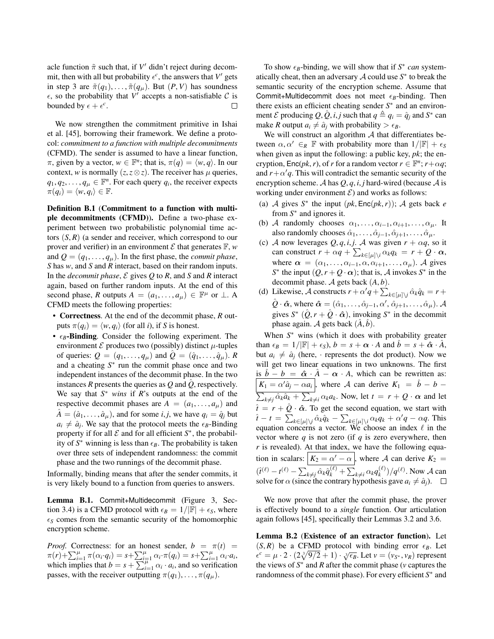acle function  $\tilde{\pi}$  such that, if  $V'$  didn't reject during decommit, then with all but probability  $\epsilon^c$ , the answers that  $V'$  gets in step 3 are  $\tilde{\pi}(q_1), \ldots, \tilde{\pi}(q_u)$ . But  $(P, V)$  has soundness  $\epsilon$ , so the probability that V' accepts a non-satisfiable C is bounded by  $\epsilon + \epsilon^c$ .  $\Box$ 

We now strengthen the commitment primitive in Ishai et al. [\[45\]](#page-14-11), borrowing their framework. We define a protocol: *commitment to a function with multiple decommitments* (CFMD). The sender is assumed to have a linear function,  $\pi$ , given by a vector,  $w \in \mathbb{F}^n$ ; that is,  $\pi(q) = \langle w, q \rangle$ . In our context, *w* is normally  $(z, z \otimes z)$ . The receiver has  $\mu$  queries,  $q_1, q_2, \ldots, q_\mu \in \mathbb{F}^n$ . For each query  $q_i$ , the receiver expects  $\pi(q_i) = \langle w, q_i \rangle \in \mathbb{F}.$ 

<span id="page-16-0"></span>Definition B.1 (Commitment to a function with multiple decommitments (CFMD)). Define a two-phase experiment between two probabilistic polynomial time actors  $(S, R)$  (a sender and receiver, which correspond to our prover and verifier) in an environment  $\mathcal E$  that generates  $\mathbb F$ , *w* and  $Q = (q_1, \ldots, q_\mu)$ . In the first phase, the *commit phase*, *S* has *w*, and *S* and *R* interact, based on their random inputs. In the *decommit phase*, E gives *Q* to *R*, and *S* and *R* interact again, based on further random inputs. At the end of this second phase, *R* outputs  $A = (a_1, \ldots, a_\mu) \in \mathbb{F}^\mu$  or  $\perp$ . A CFMD meets the following properties:

• Correctness. At the end of the decommit phase, *R* outputs  $\pi(q_i) = \langle w, q_i \rangle$  (for all *i*), if *S* is honest.

•  $\epsilon_B$ -Binding. Consider the following experiment. The environment  $\mathcal E$  produces two (possibly) distinct  $\mu$ -tuples of queries:  $Q = (q_1, \ldots, q_\mu)$  and  $\tilde{Q} = (\hat{q}_1, \ldots, \hat{q}_\mu)$ . *R* and a cheating *S* ∗ run the commit phase once and two independent instances of the decommit phase. In the two instances  $R$  presents the queries as  $Q$  and  $\ddot{Q}$ , respectively. We say that *S* <sup>∗</sup> *wins* if *R*'s outputs at the end of the respective decommit phases are  $A = (a_1, \ldots, a_\mu)$  and  $A = (\hat{a}_1, \dots, \hat{a}_\mu)$ , and for some *i*, *j*, we have  $q_i = \hat{q}_i$  but  $a_i \neq \hat{a}_j$ . We say that the protocol meets the  $\epsilon_B$ -Binding property if for all  $\mathcal E$  and for all efficient  $S^*$ , the probability of  $S^*$  winning is less than  $\epsilon_B$ . The probability is taken over three sets of independent randomness: the commit phase and the two runnings of the decommit phase.

Informally, binding means that after the sender commits, it is very likely bound to a function from queries to answers.

<span id="page-16-1"></span>Lemma B.1. Commit+Multidecommit (Figure [3,](#page-6-1) Sec-tion [3.4\)](#page-6-0) is a CFMD protocol with  $\epsilon_B = 1/|\mathbb{F}| + \epsilon_S$ , where  $\epsilon$ <sub>S</sub> comes from the semantic security of the homomorphic encryption scheme.

*Proof.* Correctness: for an honest sender,  $b = \pi(t)$  $\pi(r)+\sum_{i=1}^{\mu}\pi(\alpha_i \cdot q_i) = s+\sum_{i=1}^{\mu}\alpha_i \cdot \pi(q_i) = s+\sum_{i=1}^{\mu}\alpha_i \cdot a_i,$ which implies that  $b = s + \sum_{i=1}^{\mu} \alpha_i \cdot a_i$ , and so verification passes, with the receiver outputting  $\pi(q_1), \ldots, \pi(q_\mu)$ .

To show  $\epsilon_B$ -binding, we will show that if  $S^*$  can systematically cheat, then an adversary  $A$  could use  $S^*$  to break the semantic security of the encryption scheme. Assume that Commit+Multidecommit does not meet  $\epsilon_B$ -binding. Then there exists an efficient cheating sender S<sup>\*</sup> and an environment *E* producing *Q*,  $\hat{Q}$ ,  $i, j$  such that  $q \triangleq q_i = \hat{q}_j$  and *S*<sup>\*</sup> can make *R* output  $a_i \neq \hat{a}_i$  with probability  $\geq \epsilon_B$ .

We will construct an algorithm  $A$  that differentiates between  $\alpha, \alpha' \in_R \mathbb{F}$  with probability more than  $1/|\mathbb{F}| + \epsilon_S$ when given as input the following: a public key, *pk*; the encryption,  $Enc(pk, r)$ , of *r* for a random vector  $r \in \mathbb{F}^n$ ;  $r + \alpha q$ ; and  $r + \alpha'q$ . This will contradict the semantic security of the encryption scheme. A has  $Q, q, i, j$  hard-wired (because A is working under environment  $\mathcal{E}$ ) and works as follows:

- (a) A gives  $S^*$  the input  $(pk, Enc(pk, r))$ ; A gets back *e* from  $S^*$  and ignores it.
- (b) A randomly chooses  $\alpha_1, \ldots, \alpha_{i-1}, \alpha_{i+1}, \ldots, \alpha_{\mu}$ . It also randomly chooses  $\hat{\alpha}_1, \ldots, \hat{\alpha}_{j-1}, \hat{\alpha}_{j+1}, \ldots, \hat{\alpha}_{\mu}$ .
- (c) A now leverages  $Q, q, i, j$ . A was given  $r + \alpha q$ , so it can construct  $r + \alpha q + \sum_{k \in [\mu] \setminus i} \alpha_k q_k = r + Q \cdot \alpha$ , where  $\alpha = (\alpha_1, \ldots, \alpha_{i-1}, \alpha, \alpha_{i+1}, \ldots, \alpha_\mu)$ . A gives *S*<sup>\*</sup> the input  $(Q, r + Q \cdot \alpha)$ ; that is, *A* invokes *S*<sup>\*</sup> in the decommit phase. A gets back (*A*, *b*).
- (d) Likewise, A constructs  $r + \alpha'q + \sum_{k \in [\mu] \setminus j} \hat{\alpha}_k \hat{q}_k = r +$  $\hat{Q} \cdot \hat{\pmb{\alpha}}$ , where  $\hat{\pmb{\alpha}} = (\hat{\alpha}_1, \dots, \hat{\alpha}_{j-1}, \alpha', \hat{\alpha}_{j+1}, \dots, \hat{\alpha}_{\mu}).$  A gives  $S^*$   $(\hat{Q}, r + \hat{Q} \cdot \hat{\alpha})$ , invoking  $S^*$  in the decommit phase again. A gets back  $(\hat{A}, \hat{b})$ .

When  $S^*$  wins (which it does with probability greater than  $\epsilon_B = 1/|\mathbb{F}| + \epsilon_S$ ,  $b = s + \alpha \cdot A$  and  $\hat{b} = s + \hat{\alpha} \cdot \hat{A}$ , but  $a_i \neq \hat{a}_i$  (here, · represents the dot product). Now we will get two linear equations in two unknowns. The first is  $\hat{b} - b = \hat{\alpha} \cdot \hat{A} - \alpha \cdot A$ , which can be rewritten as:  $K_1 = \alpha' \hat{a}_j - \alpha a_i$ , where A can derive  $K_1 = \hat{b} - b \sum_{k \neq j} \hat{\alpha}_k \hat{a}_k + \sum_{k \neq i} \alpha_k a_k$ . Now, let  $t = r + Q \cdot \alpha$  and let  $\hat{t} = r + \hat{Q} \cdot \hat{\alpha}$ . To get the second equation, we start with  $\hat{t} - t = \sum_{k \in [\mu] \setminus j} \hat{\alpha}_k \hat{q}_k - \sum_{k \in [\mu] \setminus i} \alpha_k q_k + \alpha' q - \alpha q$ . This equation concerns a vector. We choose an index  $\ell$  in the vector where  $q$  is not zero (if  $q$  is zero everywhere, then *r* is revealed). At that index, we have the following equation in scalars:  $K_2 = \alpha' - \alpha$ , where A can derive  $K_2 =$  $(\hat{t}^{(\ell)} - t^{(\ell)} - \sum_{k \neq j} \hat{\alpha}_k \hat{q}_k^{(\ell)} + \sum_{k \neq i} \alpha_k q_k^{(\ell)}$  $\binom{k}{k}/q^{(\ell)}$ . Now A can solve for  $\alpha$  (since the contrary hypothesis gave  $a_i \neq \hat{a}_j$ ).

We now prove that after the commit phase, the prover is effectively bound to a *single* function. Our articulation again follows [\[45\]](#page-14-11), specifically their Lemmas 3.2 and 3.6.

<span id="page-16-2"></span>Lemma B.2 (Existence of an extractor function). Let  $(S, R)$  be a CFMD protocol with binding error  $\epsilon_B$ . Let  $\epsilon^c = \mu \cdot 2 \cdot (2\sqrt[3]{9/2} + 1) \cdot \sqrt[3]{\epsilon_B}$ . Let  $v = (v_{S^*}, v_R)$  represent the views of  $S^*$  and  $R$  after the commit phase ( $\nu$  captures the randomness of the commit phase). For every efficient *S*<sup>∗</sup> and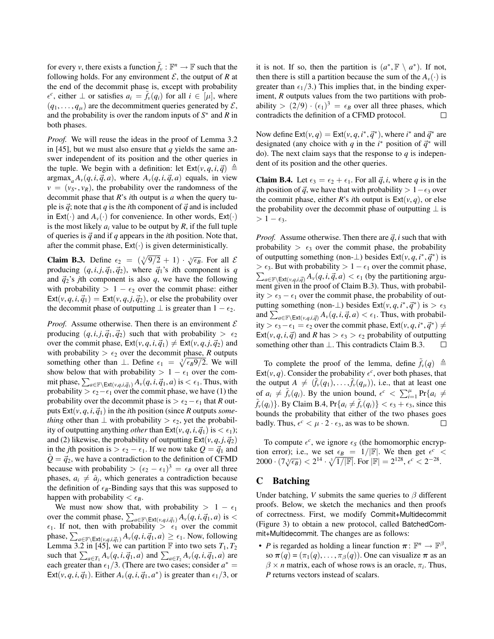for every *v*, there exists a function  $\tilde{f}_v : \mathbb{F}^n \to \mathbb{F}$  such that the following holds. For any environment  $\mathcal E$ , the output of  $R$  at the end of the decommit phase is, except with probability  $\epsilon^c$ , either  $\perp$  or satisfies  $a_i = \tilde{f}_v(q_i)$  for all  $i \in [\mu]$ , where  $(q_1, \ldots, q_\mu)$  are the decommitment queries generated by  $\mathcal{E}$ , and the probability is over the random inputs of  $S^*$  and  $R$  in both phases.

*Proof.* We will reuse the ideas in the proof of Lemma 3.2 in [\[45\]](#page-14-11), but we must also ensure that *q* yields the same answer independent of its position and the other queries in the tuple. We begin with a definition: let  $\textsf{Ext}(v, q, i, \vec{q}) \triangleq$ argmax<sub>a</sub>  $A_v(q, i, \vec{q}, a)$ , where  $A_v(q, i, \vec{q}, a)$  equals, in view  $v = (v_{S^*}, v_R)$ , the probability over the randomness of the decommit phase that *R*'s *i*th output is *a* when the query tuple is  $\vec{q}$ ; note that *q* is the *i*th component of  $\vec{q}$  and is included in Ext(·) and  $A_v(\cdot)$  for convenience. In other words, Ext(·) is the most likely  $a_i$  value to be output by  $R$ , if the full tuple of queries is  $\vec{q}$  and if *q* appears in the *i*th position. Note that, after the commit phase,  $Ext(\cdot)$  is given deterministically.

<span id="page-17-1"></span>**Claim B.3.** Define  $\epsilon_2 = (\sqrt[3]{9/2} + 1) \cdot \sqrt[3]{\epsilon_B}$ . For all  $\mathcal{E}$ producing  $(q, i, j, \vec{q}_1, \vec{q}_2)$ , where  $\vec{q}_1$ 's *i*th component is *q* and  $\vec{q}_2$ 's *j*th component is also *q*, we have the following with probability >  $1 - \epsilon_2$  over the commit phase: either  $Ext(v, q, i, \vec{q}_1) = Ext(v, q, j, \vec{q}_2)$ , or else the probability over the decommit phase of outputting  $\perp$  is greater than  $1 - \epsilon_2$ .

*Proof.* Assume otherwise. Then there is an environment  $\mathcal E$ producing  $(q, i, j, \vec{q}_1, \vec{q}_2)$  such that with probability  $> \epsilon_2$ over the commit phase,  $\text{Ext}(v, q, i, \vec{q}_1) \neq \text{Ext}(v, q, j, \vec{q}_2)$  and with probability  $> \epsilon_2$  over the decommit phase, *R* outputs something other than  $\perp$ . Define  $\epsilon_1 = \sqrt[3]{\epsilon_B 9/2}$ . We will show below that with probability >  $1 - \epsilon_1$  over the commit phase,  $\sum_{a \in \mathbb{F}\setminus \mathsf{Ext}(v,q,i,\vec{q}_1)} A_v(q,i,\vec{q}_1,a)$  is  $< \epsilon_1.$  Thus, with probability >  $\epsilon_2-\epsilon_1$  over the commit phase, we have (1) the probability over the decommit phase is  $> \epsilon_2 - \epsilon_1$  that *R* outputs  $Ext(v, q, i, \vec{q}_1)$  in the *i*th position (since *R* outputs *something* other than  $\perp$  with probability >  $\epsilon_2$ , yet the probability of outputting anything *other* than  $\text{Ext}(v, q, i, \vec{q}_1)$  is  $\lt \epsilon_1$ ; and (2) likewise, the probability of outputting  $Ext(v, q, j, \vec{q}_2)$ in the *j*th position is  $> \epsilon_2 - \epsilon_1$ . If we now take  $Q = \vec{q}_1$  and  $\hat{Q} = \vec{q}_2$ , we have a contradiction to the definition of CFMD because with probability  $> (\epsilon_2 - \epsilon_1)^3 = \epsilon_B$  over all three phases,  $a_i \neq \hat{a}_j$ , which generates a contradiction because the definition of  $\epsilon_B$ -Binding says that this was supposed to happen with probability  $\lt \epsilon_B$ .

We must now show that, with probability >  $1 - \epsilon_1$ over the commit phase,  $\sum_{a \in \mathbb{F} \setminus \text{Ext}(v,q,i,\vec{q}_1)} A_v(q,i,\vec{q}_1,a)$  is <  $\epsilon_1$ . If not, then with probability  $\geq \epsilon_1$  over the commit phase,  $\sum_{a \in \mathbb{F} \setminus \mathsf{Ext}(v,q,i,\vec{q}_1)} A_v(q,i,\vec{q}_1,a) \ge \epsilon_1$ . Now, following Lemma 3.2 in [\[45\]](#page-14-11), we can partition  $\mathbb F$  into two sets  $T_1, T_2$ such that  $\sum_{a \in T_1} A_v(q, i, \vec{q}_1, a)$  and  $\sum_{a \in T_2} A_v(q, i, \vec{q}_1, a)$  are each greater than  $\epsilon_1/3$ . (There are two cases; consider  $a^* =$ Ext(*v*, *q*, *i*,  $\vec{q}_1$ ). Either  $A_v(q, i, \vec{q}_1, a^*)$  is greater than  $\epsilon_1/3$ , or

it is not. If so, then the partition is  $(a^*, \mathbb{F} \setminus a^*)$ . If not, then there is still a partition because the sum of the  $A_v(\cdot)$  is greater than  $\epsilon_1/3$ .) This implies that, in the binding experiment, *R* outputs values from the two partitions with probability  $> (2/9) \cdot (\epsilon_1)^3 = \epsilon_B$  over all three phases, which contradicts the definition of a CFMD protocol. П

Now define  $\text{Ext}(v, q) = \text{Ext}(v, q, i^*, \vec{q}^*)$ , where *i*<sup>\*</sup> and  $\vec{q}^*$  are designated (any choice with *q* in the *i*<sup>\*</sup> position of  $\vec{q}$ <sup>\*</sup> will do). The next claim says that the response to  $q$  is independent of its position and the other queries.

<span id="page-17-2"></span>**Claim B.4.** Let  $\epsilon_3 = \epsilon_2 + \epsilon_1$ . For all  $\vec{q}$ , *i*, where *q* is in the *i*th position of  $\vec{q}$ , we have that with probability > 1− $\epsilon_3$  over the commit phase, either *R*'s *i*th output is  $Ext(v, q)$ , or else the probability over the decommit phase of outputting  $\perp$  is  $> 1 - \epsilon_3$ .

*Proof.* Assume otherwise. Then there are  $\vec{q}$ , *i* such that with probability  $> \epsilon_3$  over the commit phase, the probability of outputting something (non- $\perp$ ) besides  $\text{Ext}(v, q, i^*, \vec{q}^*)$  is >  $\epsilon_3$ . But with probability > 1 −  $\epsilon_1$  over the commit phase,  $\sum_{a \in \mathbb{F} \setminus \text{Ext}(v,q,i,\vec{q})} A_v(q,i,\vec{q},a) < \epsilon_1$  (by the partitioning argument given in the proof of Claim [B.3\)](#page-17-1). Thus, with probability >  $\epsilon_3 - \epsilon_1$  over the commit phase, the probability of outputting something (non- $\perp$ ) besides Ext(*v*, *q*, *i*<sup>\*</sup>,  $\vec{q}$ <sup>\*</sup>) is >  $\epsilon_3$ and  $\sum_{a \in \mathbb{F} \setminus \text{Ext}(v,q,i,\vec{q})} A_v(q,i,\vec{q},a) < \epsilon_1$ . Thus, with probability >  $\epsilon_3 - \epsilon_1 = \epsilon_2$  over the commit phase, Ext(*v*, *q*, *i*<sup>\*</sup>, *q*<sup>\*</sup>) ≠ Ext(*v*, *q*, *i*,  $\vec{q}$ ) and *R* has  $> \epsilon_3 > \epsilon_2$  probability of outputting something other than ⊥. This contradicts Claim [B.3.](#page-17-1)  $\Box$ 

To complete the proof of the lemma, define  $\tilde{f}_v(q) \triangleq$ Ext( $v, q$ ). Consider the probability  $\epsilon^c$ , over both phases, that the output  $A \neq (\tilde{f}_\nu(q_1), \ldots, \tilde{f}_\nu(q_\mu))$ , i.e., that at least one of  $a_i \neq \tilde{f}_v(q_i)$ . By the union bound,  $\epsilon^c < \sum_{i=1}^{\mu} Pr\{a_i \neq \epsilon\}$  $\tilde{f}_v(q_i)$ . By Claim [B.4,](#page-17-2)  $Pr\{a_i \neq \tilde{f}_v(q_i)\} < \epsilon_3 + \epsilon_3$ , since this bounds the probability that either of the two phases goes badly. Thus,  $\epsilon^c < \mu \cdot 2 \cdot \epsilon_3$ , as was to be shown.  $\Box$ 

To compute  $\epsilon^c$ , we ignore  $\epsilon_s$  (the homomorphic encryption error); i.e., we set  $\epsilon_B = 1/|\mathbb{F}|$ . We then get  $\epsilon^c$  < 2000 ·  $(7\sqrt[3]{\epsilon_B}) < 2^{14} \cdot \sqrt[3]{1/|\mathbb{F}|}$ . For  $|\mathbb{F}| = 2^{128}$ ,  $\epsilon^c < 2^{-28}$ .

# <span id="page-17-0"></span>C Batching

Under batching, *V* submits the same queries to  $\beta$  different proofs. Below, we sketch the mechanics and then proofs of correctness. First, we modify Commit+Multidecommit (Figure [3\)](#page-6-1) to obtain a new protocol, called BatchedCommit+Multidecommit. The changes are as follows:

• *P* is regarded as holding a linear function  $\pi: \mathbb{F}^n \to \mathbb{F}^{\beta}$ , so  $\pi(q) = (\pi_1(q), \ldots, \pi_\beta(q))$ . One can visualize  $\pi$  as an  $\beta \times n$  matrix, each of whose rows is an oracle,  $\pi_i$ . Thus, *P* returns vectors instead of scalars.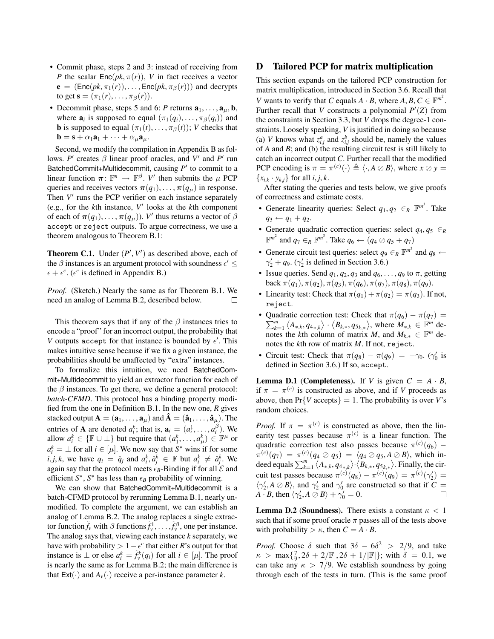- Commit phase, steps [2](#page-6-6) and [3:](#page-6-3) instead of receiving from *P* the scalar  $Enc(pk, \pi(r))$ , *V* in fact receives a vector  $e = (Enc(pk, \pi_1(r)), \ldots, Enc(pk, \pi_\beta(r)))$  and decrypts to get  $s = (\pi_1(r), \ldots, \pi_\beta(r)).$
- Decommit phase, steps [5](#page-6-7) and [6:](#page-6-5) *P* returns  $\mathbf{a}_1, \ldots, \mathbf{a}_\mu, \mathbf{b}$ , where  $\mathbf{a}_i$  is supposed to equal  $(\pi_1(q_i), \dots, \pi_\beta(q_i))$  and **b** is supposed to equal  $(\pi_1(t), \ldots, \pi_\beta(t));$  *V* checks that  $\mathbf{b} = \mathbf{s} + \alpha_1 \mathbf{a}_1 + \cdots + \alpha_\mu \mathbf{a}_\mu.$

Second, we modify the compilation in Appendix [B](#page-15-2) as follows. *P*<sup> $\prime$ </sup> creates  $\beta$  linear proof oracles, and *V*<sup> $\prime$ </sup> and *P*<sup> $\prime$ </sup> run BatchedCommit+Multidecommit, causing P' to commit to a linear function  $\pi: \mathbb{F}^n \to \mathbb{F}^{\beta}$ . *V'* then submits the  $\mu$  PCP queries and receives vectors  $\pi(q_1), \ldots, \pi(q_\mu)$  in response. Then  $V'$  runs the PCP verifier on each instance separately (e.g., for the *k*th instance, *V* 0 looks at the *k*th component of each of  $\pi(q_1), \ldots, \pi(q_\mu)$ ). *V*<sup> $\prime$ </sup> thus returns a vector of  $\beta$ accept or reject outputs. To argue correctness, we use a theorem analogous to Theorem [B.1:](#page-15-4)

**Theorem C.1.** Under  $(P', V')$  as described above, each of the  $\beta$  instances is an argument protocol with soundness  $\epsilon' \leq$  $\epsilon + \epsilon^c$ . ( $\epsilon^c$  is defined in Appendix [B.](#page-15-2))

*Proof.* (Sketch.) Nearly the same as for Theorem [B.1.](#page-15-4) We need an analog of Lemma [B.2,](#page-16-2) described below.  $\Box$ 

This theorem says that if any of the  $\beta$  instances tries to encode a "proof" for an incorrect output, the probability that V outputs accept for that instance is bounded by  $\epsilon'$ . This makes intuitive sense because if we fix a given instance, the probabilities should be unaffected by "extra" instances.

To formalize this intuition, we need BatchedCommit+Multidecommit to yield an extractor function for each of the  $\beta$  instances. To get there, we define a general protocol: *batch-CFMD*. This protocol has a binding property modified from the one in Definition [B.1.](#page-16-0) In the new one, *R* gives stacked output  $\mathbf{A} = (\mathbf{a}_1, \dots, \mathbf{a}_\mu)$  and  $\mathbf{\hat{A}} = (\mathbf{\hat{a}}_1, \dots, \mathbf{\hat{a}}_\mu)$ . The entries of **A** are denoted  $a_i^k$ ; that is,  $\mathbf{a}_i = (a_i^1, \dots, a_i^\beta)$ . We allow  $a_i^k \in \{ \mathbb{F} \cup \perp \}$  but require that  $(a_1^k, \ldots, a_\mu^k) \in \mathbb{F}^\mu$  or  $a_i^k = \perp$  for all  $i \in [\mu]$ . We now say that *S*<sup>\*</sup> wins if for some  $i, j, k$ , we have  $q_i = \hat{q}_j$  and  $a_i^k, \hat{a}_j^k \in \mathbb{F}$  but  $a_i^k \neq \hat{a}_j^k$ . We again say that the protocol meets  $\epsilon_B$ -Binding if for all  $\mathcal E$  and efficient  $S^*$ ,  $S^*$  has less than  $\epsilon_B$  probability of winning.

We can show that BatchedCommit+Multidecommit is a batch-CFMD protocol by rerunning Lemma [B.1,](#page-16-1) nearly unmodified. To complete the argument, we can establish an analog of Lemma [B.2.](#page-16-2) The analog replaces a single extractor function  $\tilde{f}_v$  with  $\beta$  functions  $\tilde{f}_v^1, \ldots, \tilde{f}_v^\beta$ , one per instance. The analog says that, viewing each instance *k* separately, we have with probability  $> 1 - \epsilon^c$  that either *R*'s output for that instance is ⊥ or else  $a_i^k = \tilde{f}_v^k(q_i)$  for all  $i \in [\mu]$ . The proof is nearly the same as for Lemma [B.2;](#page-16-2) the main difference is that  $Ext(\cdot)$  and  $A_v(\cdot)$  receive a per-instance parameter *k*.

# <span id="page-18-0"></span>D Tailored PCP for matrix multiplication

This section expands on the tailored PCP construction for matrix multiplication, introduced in Section [3.6.](#page-7-0) Recall that *V* wants to verify that *C* equals  $A \cdot B$ , where  $A, B, C \in \mathbb{F}^{m^2}$ . Further recall that *V* constructs a polynomial  $P'(Z)$  from the constraints in Section [3.3,](#page-4-0) but *V* drops the degree-1 constraints. Loosely speaking, *V* is justified in doing so because (a) *V* knows what  $z_{i,j}^a$  and  $z_{i,j}^b$  should be, namely the values of *A* and *B*; and (b) the resulting circuit test is still likely to catch an incorrect output *C*. Further recall that the modified PCP encoding is  $\pi = \pi^{(c)}(\cdot) \triangleq \langle \cdot, A \oslash B \rangle$ , where  $x \oslash y =$  ${x_{i,k} \cdot y_{k,i}}$  for all  $i, j, k$ .

After stating the queries and tests below, we give proofs of correctness and estimate costs.

- Generate linearity queries: Select  $q_1, q_2 \n∈_R \mathbb{F}^{m^3}$ . Take  $q_3 \leftarrow q_1 + q_2.$
- Generate quadratic correction queries: select  $q_4, q_5 \in R$  $\mathbb{F}^{m^2}$  and  $q_7 \in_R \mathbb{F}^{m^3}$ . Take  $q_6 \leftarrow (q_4 \oslash q_5 + q_7)$
- Generate circuit test queries: select  $q_9 \in_R \mathbb{F}^{m^3}$  and  $q_8 \leftarrow$  $\gamma'_2 + q_9$ . ( $\gamma'_2$  is defined in Section [3.6.](#page-7-0))
- Issue queries. Send  $q_1, q_2, q_3$  and  $q_6, \ldots, q_9$  to  $\pi$ , getting back  $\pi(q_1), \pi(q_2), \pi(q_3), \pi(q_6), \pi(q_7), \pi(q_8), \pi(q_9).$
- Linearity test: Check that  $\pi(q_1) + \pi(q_2) = \pi(q_3)$ . If not, reject.
- Quadratic correction test: Check that  $\pi(q_6) \pi(q_7) =$  $\sum_{k=1}^{m} \langle A_{*,k}, q_{4_{*,k}} \rangle \cdot \langle B_{k,*}, q_{5_{k,*}} \rangle$ , where  $M_{*,k} \in \mathbb{F}^m$  denotes the *k*th column of matrix *M*, and  $M_{k,*} \in \mathbb{F}^m$  denotes the *k*th row of matrix *M*. If not, reject.
- Circuit test: Check that  $\pi(q_8) \pi(q_9) = -\gamma_0$ . ( $\gamma'_0$  is defined in Section [3.6.](#page-7-0)) If so, accept.

**Lemma D.1** (Completeness). If *V* is given  $C = A \cdot B$ , if  $\pi = \pi^{(c)}$  is constructed as above, and if *V* proceeds as above, then  $Pr{V$  accepts  $= 1$ . The probability is over *V*'s random choices.

*Proof.* If  $\pi = \pi^{(c)}$  is constructed as above, then the linearity test passes because  $\pi^{(c)}$  is a linear function. The quadratic correction test also passes because  $\pi^{(c)}(q_6)$  –  $\pi^{(c)}(q_7) = \pi^{(c)}(q_4 \oslash q_5) = \langle q_4 \oslash q_5, A \oslash B \rangle$ , which indeed equals  $\sum_{k=1}^{m} \langle A_{*,k}, q_{4_{*,k}} \rangle \cdot \langle B_{k,*}, q_{5_{k,*}} \rangle$ . Finally, the circuit test passes because  $\pi^{(c)}(q_8) - \pi^{(c)}(q_9) = \pi^{(c)}(\gamma_2') =$  $\langle \gamma_2', A \otimes B \rangle$ , and  $\gamma_2'$  and  $\gamma_0'$  are constructed so that if  $C =$ *A* · *B*, then  $\langle \gamma_2', A \oslash B \rangle + \gamma_0' = 0$ .  $\Box$ 

**Lemma D.2 (Soundness).** There exists a constant  $\kappa < 1$ such that if some proof oracle  $\pi$  passes all of the tests above with probability  $>\kappa$ , then  $C = A \cdot B$ .

*Proof.* Choose  $\delta$  such that  $3\delta - 6\delta^2 > 2/9$ , and take  $\kappa$  > max $\{\frac{7}{9}, 2\delta + 2/\mathbb{F}, 2\delta + 1/\mathbb{F} \}$ ; with  $\delta = 0.1$ , we can take any  $\kappa > 7/9$ . We establish soundness by going through each of the tests in turn. (This is the same proof